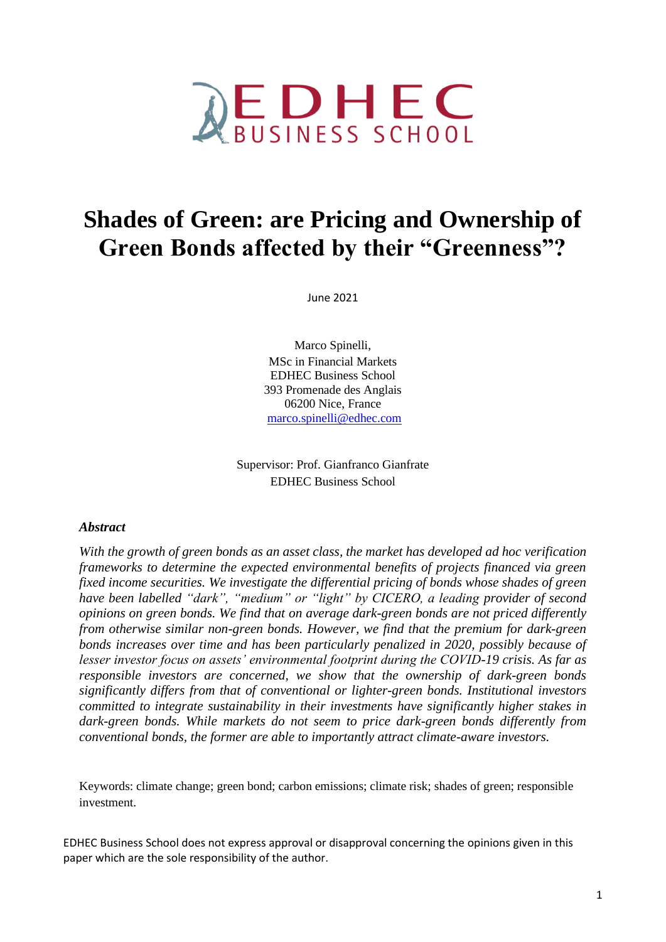

# **Shades of Green: are Pricing and Ownership of Green Bonds affected by their "Greenness"?**

June 2021

Marco Spinelli, MSc in Financial Markets EDHEC Business School 393 Promenade des Anglais 06200 Nice, France marco.spinelli@edhec.com

Supervisor: Prof. Gianfranco Gianfrate EDHEC Business School

### *Abstract*

*With the growth of green bonds as an asset class, the market has developed ad hoc verification frameworks to determine the expected environmental benefits of projects financed via green fixed income securities. We investigate the differential pricing of bonds whose shades of green have been labelled "dark", "medium" or "light" by CICERO, a leading provider of second opinions on green bonds. We find that on average dark-green bonds are not priced differently from otherwise similar non-green bonds. However, we find that the premium for dark-green bonds increases over time and has been particularly penalized in 2020, possibly because of lesser investor focus on assets' environmental footprint during the COVID-19 crisis. As far as responsible investors are concerned, we show that the ownership of dark-green bonds significantly differs from that of conventional or lighter-green bonds. Institutional investors committed to integrate sustainability in their investments have significantly higher stakes in dark-green bonds. While markets do not seem to price dark-green bonds differently from conventional bonds, the former are able to importantly attract climate-aware investors.*

Keywords: climate change; green bond; carbon emissions; climate risk; shades of green; responsible investment.

EDHEC Business School does not express approval or disapproval concerning the opinions given in this paper which are the sole responsibility of the author.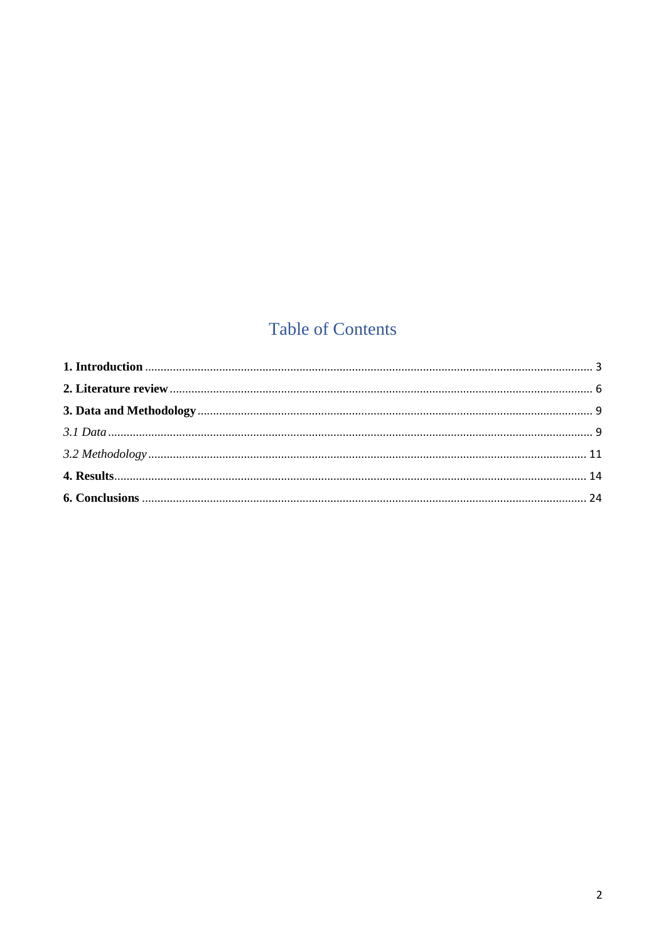# **Table of Contents**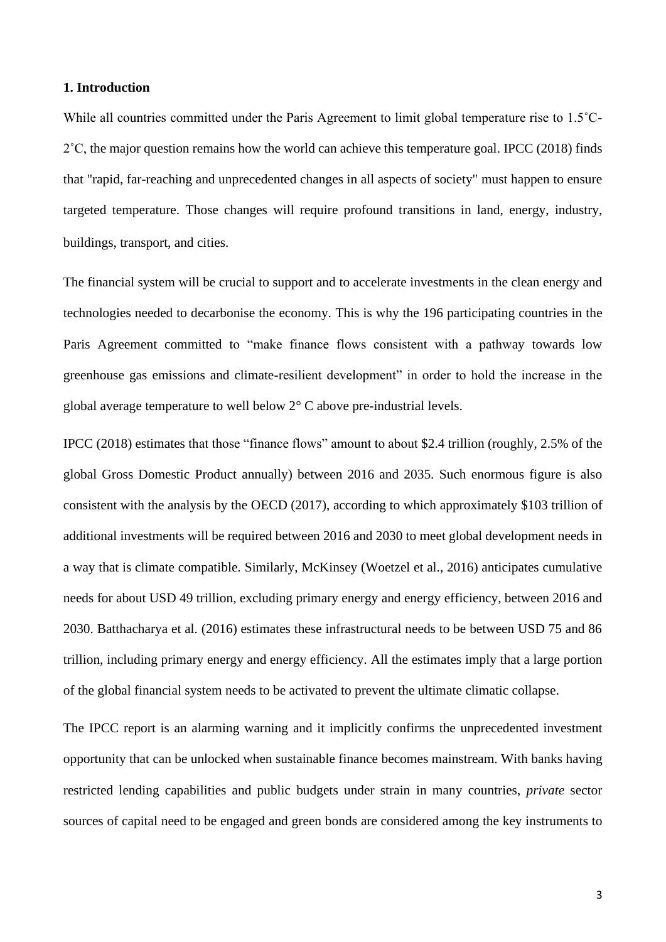#### <span id="page-2-0"></span>**1. Introduction**

While all countries committed under the Paris Agreement to limit global temperature rise to 1.5<sup>°</sup>C-2˚C, the major question remains how the world can achieve this temperature goal. IPCC (2018) finds that "rapid, far-reaching and unprecedented changes in all aspects of society" must happen to ensure targeted temperature. Those changes will require profound transitions in land, energy, industry, buildings, transport, and cities.

The financial system will be crucial to support and to accelerate investments in the clean energy and technologies needed to decarbonise the economy. This is why the 196 participating countries in the Paris Agreement committed to "make finance flows consistent with a pathway towards low greenhouse gas emissions and climate-resilient development" in order to hold the increase in the global average temperature to well below 2° C above pre-industrial levels.

IPCC (2018) estimates that those "finance flows" amount to about \$2.4 trillion (roughly, 2.5% of the global Gross Domestic Product annually) between 2016 and 2035. Such enormous figure is also consistent with the analysis by the OECD (2017), according to which approximately \$103 trillion of additional investments will be required between 2016 and 2030 to meet global development needs in a way that is climate compatible. Similarly, McKinsey (Woetzel et al., 2016) anticipates cumulative needs for about USD 49 trillion, excluding primary energy and energy efficiency, between 2016 and 2030. Batthacharya et al. (2016) estimates these infrastructural needs to be between USD 75 and 86 trillion, including primary energy and energy efficiency. All the estimates imply that a large portion of the global financial system needs to be activated to prevent the ultimate climatic collapse.

The IPCC report is an alarming warning and it implicitly confirms the unprecedented investment opportunity that can be unlocked when sustainable finance becomes mainstream. With banks having restricted lending capabilities and public budgets under strain in many countries, *private* sector sources of capital need to be engaged and green bonds are considered among the key instruments to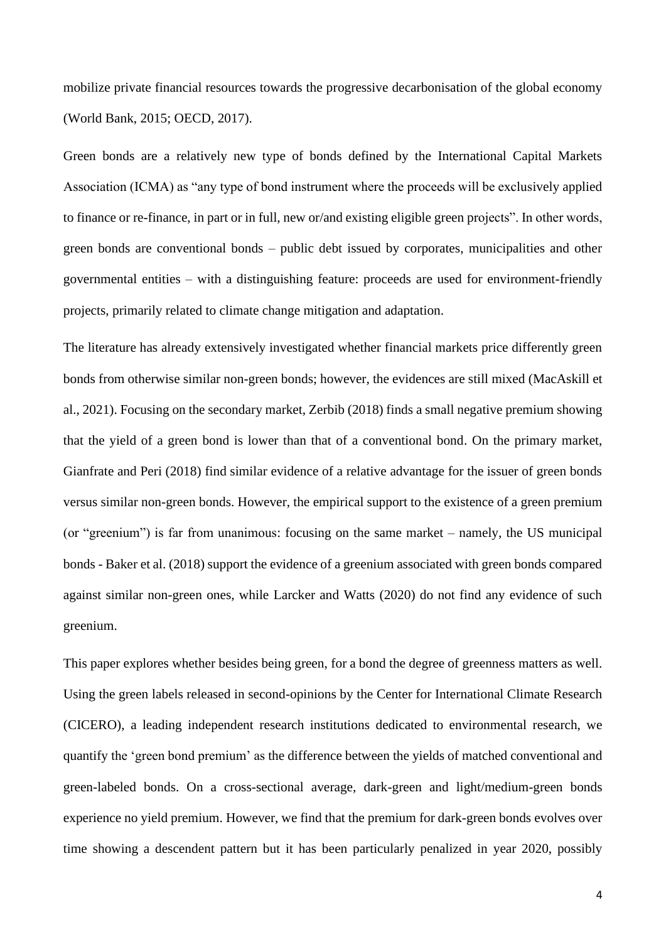mobilize private financial resources towards the progressive decarbonisation of the global economy (World Bank, 2015; OECD, 2017).

Green bonds are a relatively new type of bonds defined by the International Capital Markets Association (ICMA) as "any type of bond instrument where the proceeds will be exclusively applied to finance or re-finance, in part or in full, new or/and existing eligible green projects". In other words, green bonds are conventional bonds – public debt issued by corporates, municipalities and other governmental entities – with a distinguishing feature: proceeds are used for environment-friendly projects, primarily related to climate change mitigation and adaptation.

The literature has already extensively investigated whether financial markets price differently green bonds from otherwise similar non-green bonds; however, the evidences are still mixed (MacAskill et al., 2021). Focusing on the secondary market, Zerbib (2018) finds a small negative premium showing that the yield of a green bond is lower than that of a conventional bond. On the primary market, Gianfrate and Peri (2018) find similar evidence of a relative advantage for the issuer of green bonds versus similar non-green bonds. However, the empirical support to the existence of a green premium (or "greenium") is far from unanimous: focusing on the same market – namely, the US municipal bonds - Baker et al. (2018) support the evidence of a greenium associated with green bonds compared against similar non-green ones, while Larcker and Watts (2020) do not find any evidence of such greenium.

This paper explores whether besides being green, for a bond the degree of greenness matters as well. Using the green labels released in second-opinions by the Center for International Climate Research (CICERO), a leading independent research institutions dedicated to environmental research, we quantify the 'green bond premium' as the difference between the yields of matched conventional and green-labeled bonds. On a cross-sectional average, dark-green and light/medium-green bonds experience no yield premium. However, we find that the premium for dark-green bonds evolves over time showing a descendent pattern but it has been particularly penalized in year 2020, possibly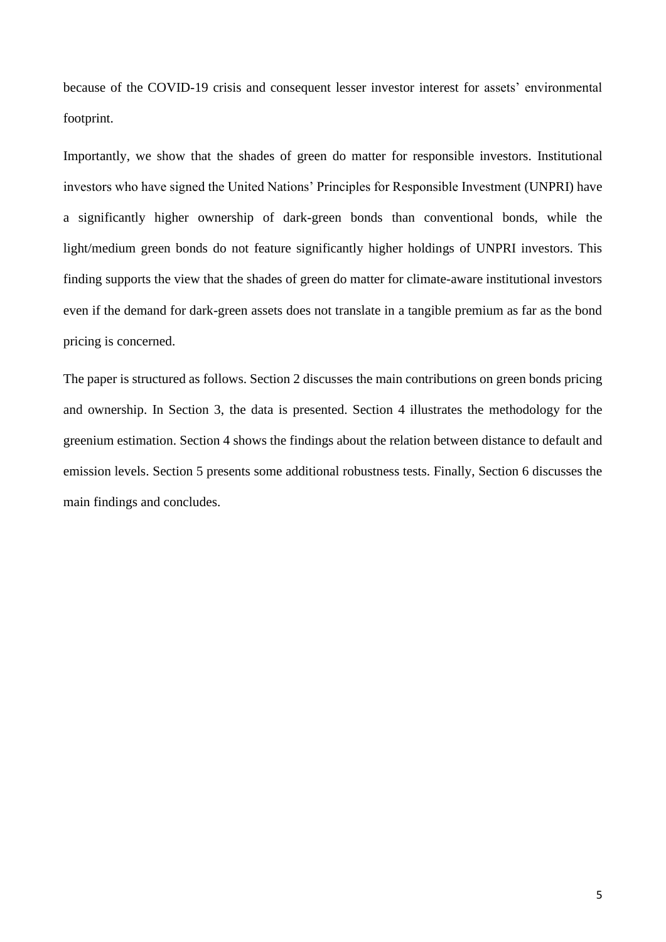because of the COVID-19 crisis and consequent lesser investor interest for assets' environmental footprint.

Importantly, we show that the shades of green do matter for responsible investors. Institutional investors who have signed the United Nations' Principles for Responsible Investment (UNPRI) have a significantly higher ownership of dark-green bonds than conventional bonds, while the light/medium green bonds do not feature significantly higher holdings of UNPRI investors. This finding supports the view that the shades of green do matter for climate-aware institutional investors even if the demand for dark-green assets does not translate in a tangible premium as far as the bond pricing is concerned.

The paper is structured as follows. Section 2 discusses the main contributions on green bonds pricing and ownership. In Section 3, the data is presented. Section 4 illustrates the methodology for the greenium estimation. Section 4 shows the findings about the relation between distance to default and emission levels. Section 5 presents some additional robustness tests. Finally, Section 6 discusses the main findings and concludes.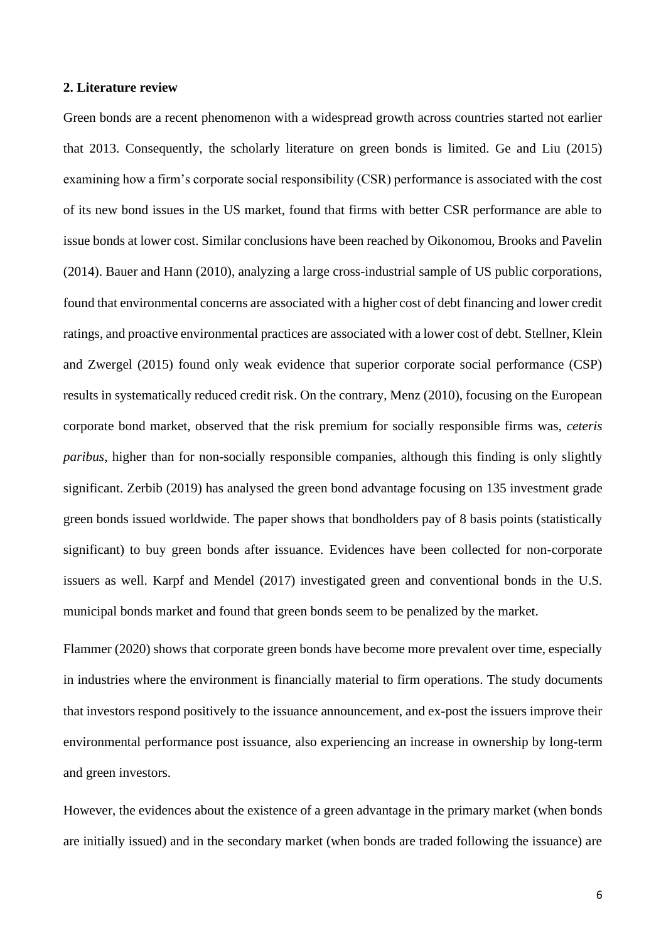#### <span id="page-5-0"></span>**2. Literature review**

Green bonds are a recent phenomenon with a widespread growth across countries started not earlier that 2013. Consequently, the scholarly literature on green bonds is limited. Ge and Liu (2015) examining how a firm's corporate social responsibility (CSR) performance is associated with the cost of its new bond issues in the US market, found that firms with better CSR performance are able to issue bonds at lower cost. Similar conclusions have been reached by Oikonomou, Brooks and Pavelin (2014). Bauer and Hann (2010), analyzing a large cross-industrial sample of US public corporations, found that environmental concerns are associated with a higher cost of debt financing and lower credit ratings, and proactive environmental practices are associated with a lower cost of debt. Stellner, Klein and Zwergel (2015) found only weak evidence that superior corporate social performance (CSP) results in systematically reduced credit risk. On the contrary, Menz (2010), focusing on the European corporate bond market, observed that the risk premium for socially responsible firms was, *ceteris paribus*, higher than for non-socially responsible companies, although this finding is only slightly significant. Zerbib (2019) has analysed the green bond advantage focusing on 135 investment grade green bonds issued worldwide. The paper shows that bondholders pay of 8 basis points (statistically significant) to buy green bonds after issuance. Evidences have been collected for non-corporate issuers as well. Karpf and Mendel (2017) investigated green and conventional bonds in the U.S. municipal bonds market and found that green bonds seem to be penalized by the market.

Flammer (2020) shows that corporate green bonds have become more prevalent over time, especially in industries where the environment is financially material to firm operations. The study documents that investors respond positively to the issuance announcement, and ex-post the issuers improve their environmental performance post issuance, also experiencing an increase in ownership by long-term and green investors.

However, the evidences about the existence of a green advantage in the primary market (when bonds are initially issued) and in the secondary market (when bonds are traded following the issuance) are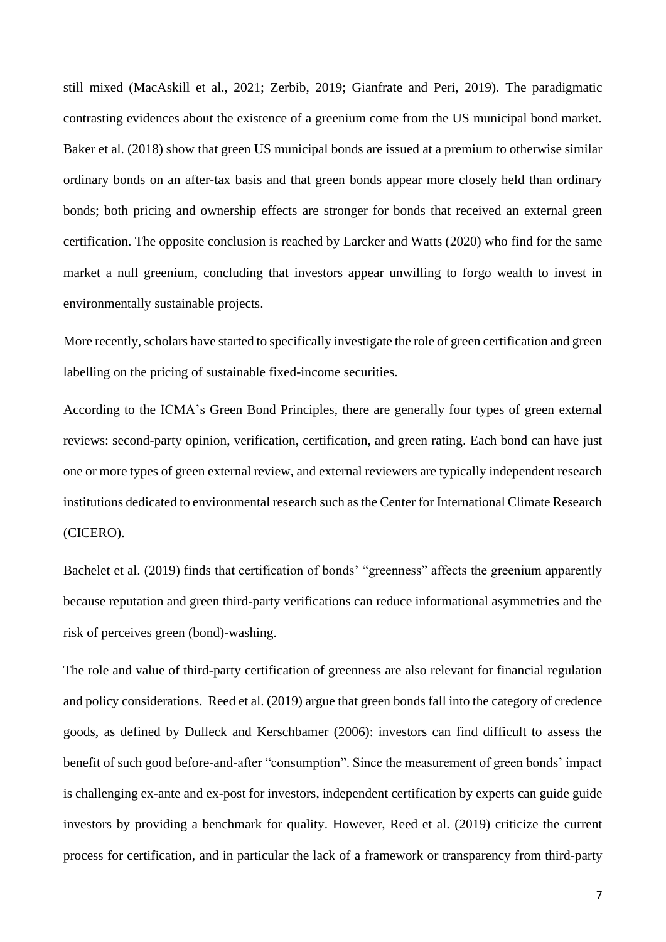still mixed (MacAskill et al., 2021; Zerbib, 2019; Gianfrate and Peri, 2019). The paradigmatic contrasting evidences about the existence of a greenium come from the US municipal bond market. Baker et al. (2018) show that green US municipal bonds are issued at a premium to otherwise similar ordinary bonds on an after-tax basis and that green bonds appear more closely held than ordinary bonds; both pricing and ownership effects are stronger for bonds that received an external green certification. The opposite conclusion is reached by Larcker and Watts (2020) who find for the same market a null greenium, concluding that investors appear unwilling to forgo wealth to invest in environmentally sustainable projects.

More recently, scholars have started to specifically investigate the role of green certification and green labelling on the pricing of sustainable fixed-income securities.

According to the ICMA's Green Bond Principles, there are generally four types of green external reviews: second-party opinion, verification, certification, and green rating. Each bond can have just one or more types of green external review, and external reviewers are typically independent research institutions dedicated to environmental research such as the Center for International Climate Research (CICERO).

Bachelet et al. (2019) finds that certification of bonds' "greenness" affects the greenium apparently because reputation and green third-party verifications can reduce informational asymmetries and the risk of perceives green (bond)-washing.

The role and value of third-party certification of greenness are also relevant for financial regulation and policy considerations. Reed et al. (2019) argue that green bonds fall into the category of credence goods, as defined by Dulleck and Kerschbamer (2006): investors can find difficult to assess the benefit of such good before-and-after "consumption". Since the measurement of green bonds' impact is challenging ex-ante and ex-post for investors, independent certification by experts can guide guide investors by providing a benchmark for quality. However, Reed et al. (2019) criticize the current process for certification, and in particular the lack of a framework or transparency from third-party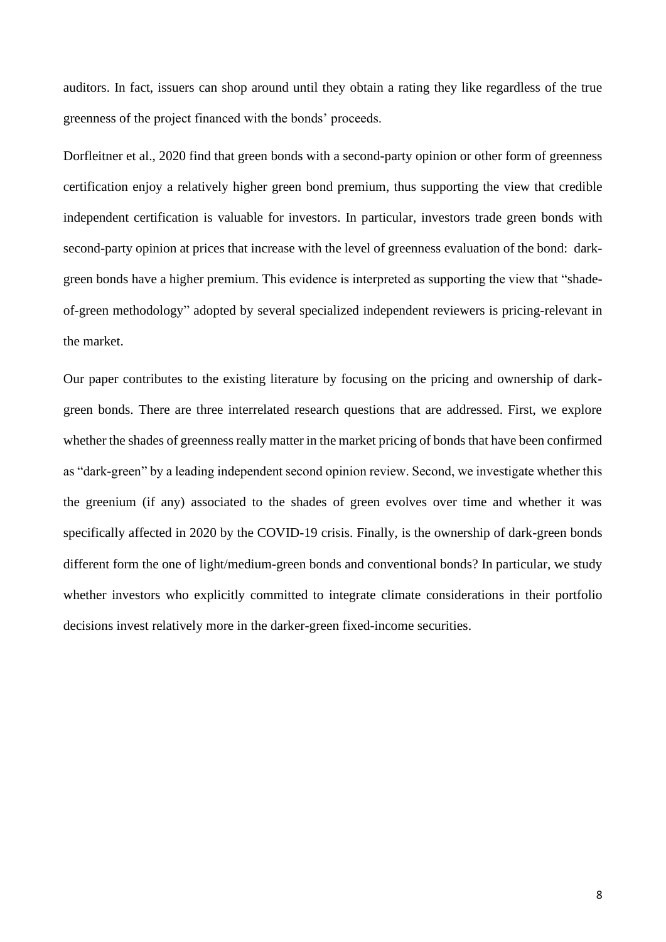auditors. In fact, issuers can shop around until they obtain a rating they like regardless of the true greenness of the project financed with the bonds' proceeds.

Dorfleitner et al., 2020 find that green bonds with a second-party opinion or other form of greenness certification enjoy a relatively higher green bond premium, thus supporting the view that credible independent certification is valuable for investors. In particular, investors trade green bonds with second-party opinion at prices that increase with the level of greenness evaluation of the bond: darkgreen bonds have a higher premium. This evidence is interpreted as supporting the view that "shadeof-green methodology" adopted by several specialized independent reviewers is pricing-relevant in the market.

Our paper contributes to the existing literature by focusing on the pricing and ownership of darkgreen bonds. There are three interrelated research questions that are addressed. First, we explore whether the shades of greenness really matter in the market pricing of bonds that have been confirmed as "dark-green" by a leading independent second opinion review. Second, we investigate whether this the greenium (if any) associated to the shades of green evolves over time and whether it was specifically affected in 2020 by the COVID-19 crisis. Finally, is the ownership of dark-green bonds different form the one of light/medium-green bonds and conventional bonds? In particular, we study whether investors who explicitly committed to integrate climate considerations in their portfolio decisions invest relatively more in the darker-green fixed-income securities.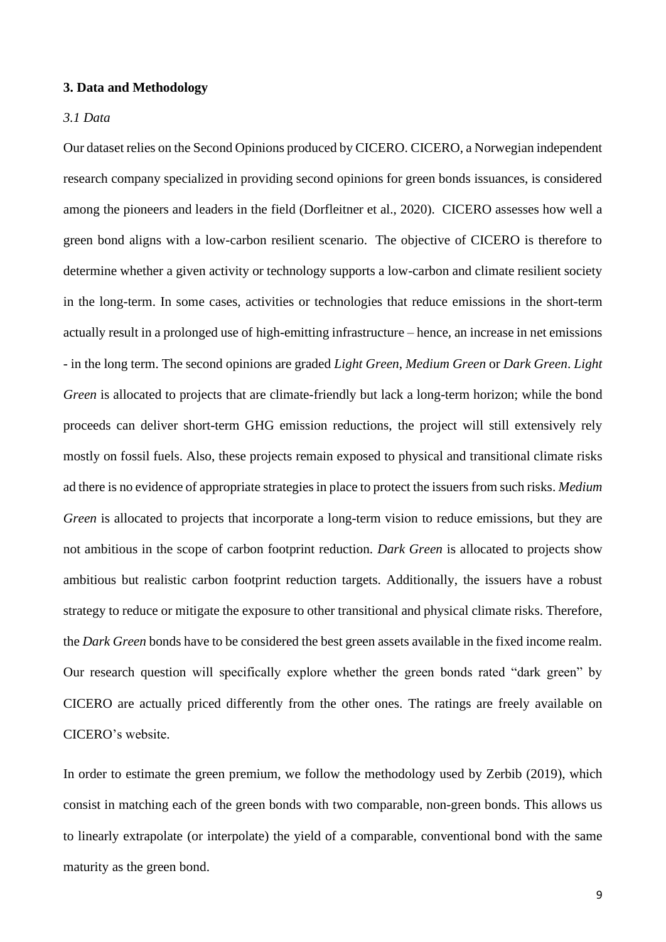#### <span id="page-8-0"></span>**3. Data and Methodology**

#### <span id="page-8-1"></span>*3.1 Data*

Our dataset relies on the Second Opinions produced by CICERO. CICERO, a Norwegian independent research company specialized in providing second opinions for green bonds issuances, is considered among the pioneers and leaders in the field (Dorfleitner et al., 2020). CICERO assesses how well a green bond aligns with a low-carbon resilient scenario. The objective of CICERO is therefore to determine whether a given activity or technology supports a low-carbon and climate resilient society in the long-term. In some cases, activities or technologies that reduce emissions in the short-term actually result in a prolonged use of high-emitting infrastructure – hence, an increase in net emissions - in the long term. The second opinions are graded *Light Green*, *Medium Green* or *Dark Green*. *Light Green* is allocated to projects that are climate-friendly but lack a long-term horizon; while the bond proceeds can deliver short-term GHG emission reductions, the project will still extensively rely mostly on fossil fuels. Also, these projects remain exposed to physical and transitional climate risks ad there is no evidence of appropriate strategies in place to protect the issuers from such risks. *Medium Green* is allocated to projects that incorporate a long-term vision to reduce emissions, but they are not ambitious in the scope of carbon footprint reduction. *Dark Green* is allocated to projects show ambitious but realistic carbon footprint reduction targets. Additionally, the issuers have a robust strategy to reduce or mitigate the exposure to other transitional and physical climate risks. Therefore, the *Dark Green* bonds have to be considered the best green assets available in the fixed income realm. Our research question will specifically explore whether the green bonds rated "dark green" by CICERO are actually priced differently from the other ones. The ratings are freely available on CICERO's website.

In order to estimate the green premium, we follow the methodology used by Zerbib (2019), which consist in matching each of the green bonds with two comparable, non-green bonds. This allows us to linearly extrapolate (or interpolate) the yield of a comparable, conventional bond with the same maturity as the green bond.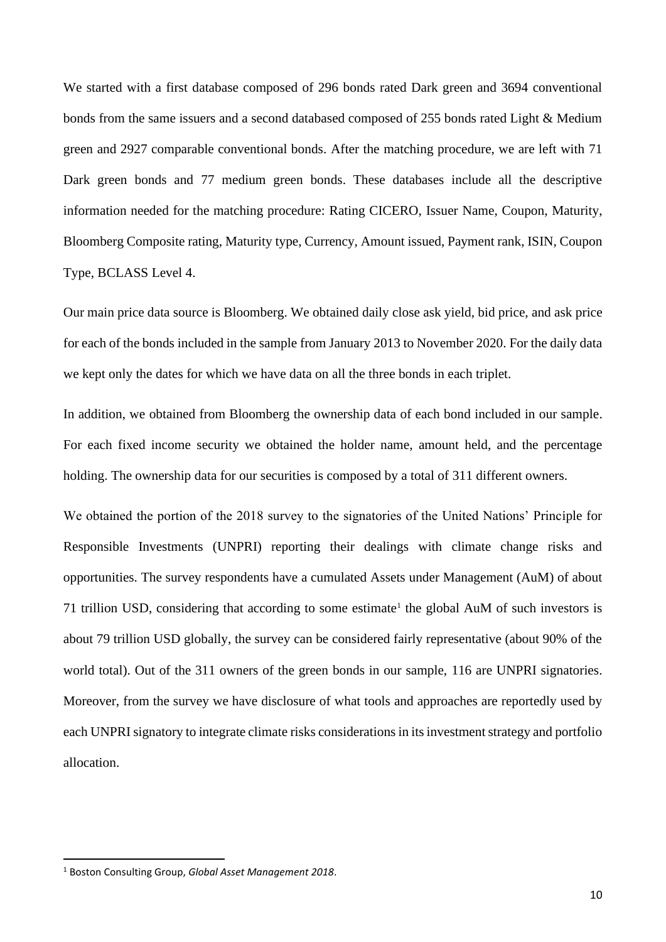We started with a first database composed of 296 bonds rated Dark green and 3694 conventional bonds from the same issuers and a second databased composed of 255 bonds rated Light & Medium green and 2927 comparable conventional bonds. After the matching procedure, we are left with 71 Dark green bonds and 77 medium green bonds. These databases include all the descriptive information needed for the matching procedure: Rating CICERO, Issuer Name, Coupon, Maturity, Bloomberg Composite rating, Maturity type, Currency, Amount issued, Payment rank, ISIN, Coupon Type, BCLASS Level 4.

Our main price data source is Bloomberg. We obtained daily close ask yield, bid price, and ask price for each of the bonds included in the sample from January 2013 to November 2020. For the daily data we kept only the dates for which we have data on all the three bonds in each triplet.

In addition, we obtained from Bloomberg the ownership data of each bond included in our sample. For each fixed income security we obtained the holder name, amount held, and the percentage holding. The ownership data for our securities is composed by a total of 311 different owners.

We obtained the portion of the 2018 survey to the signatories of the United Nations' Principle for Responsible Investments (UNPRI) reporting their dealings with climate change risks and opportunities. The survey respondents have a cumulated Assets under Management (AuM) of about 71 trillion USD, considering that according to some estimate<sup>1</sup> the global AuM of such investors is about 79 trillion USD globally, the survey can be considered fairly representative (about 90% of the world total). Out of the 311 owners of the green bonds in our sample, 116 are UNPRI signatories. Moreover, from the survey we have disclosure of what tools and approaches are reportedly used by each UNPRI signatory to integrate climate risks considerations in its investment strategy and portfolio allocation.

<sup>1</sup> Boston Consulting Group, *Global Asset Management 2018*.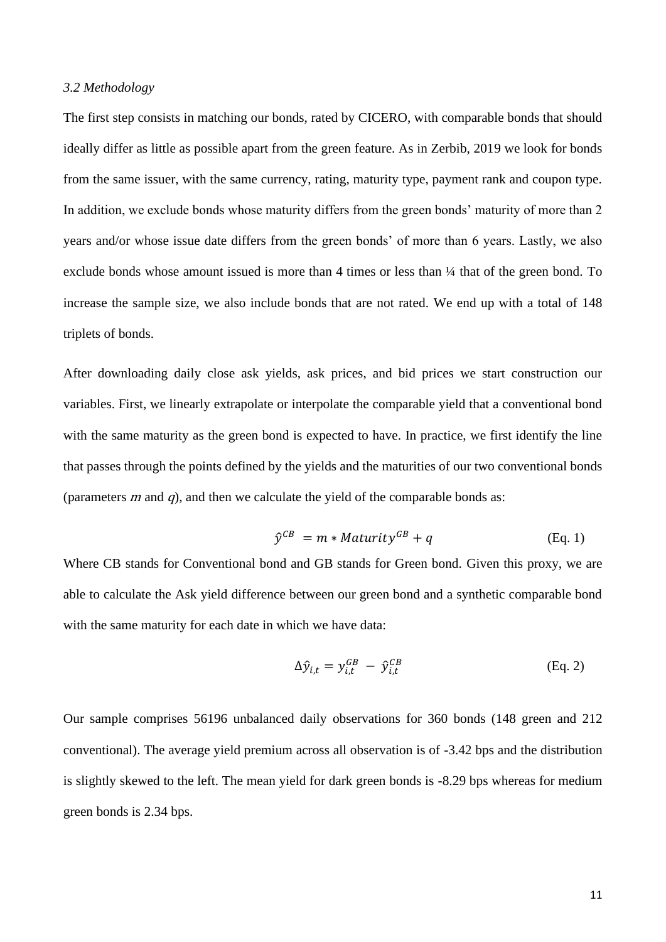#### <span id="page-10-0"></span>*3.2 Methodology*

The first step consists in matching our bonds, rated by CICERO, with comparable bonds that should ideally differ as little as possible apart from the green feature. As in Zerbib, 2019 we look for bonds from the same issuer, with the same currency, rating, maturity type, payment rank and coupon type. In addition, we exclude bonds whose maturity differs from the green bonds' maturity of more than 2 years and/or whose issue date differs from the green bonds' of more than 6 years. Lastly, we also exclude bonds whose amount issued is more than 4 times or less than  $\frac{1}{4}$  that of the green bond. To increase the sample size, we also include bonds that are not rated. We end up with a total of 148 triplets of bonds.

After downloading daily close ask yields, ask prices, and bid prices we start construction our variables. First, we linearly extrapolate or interpolate the comparable yield that a conventional bond with the same maturity as the green bond is expected to have. In practice, we first identify the line that passes through the points defined by the yields and the maturities of our two conventional bonds (parameters  $m$  and  $q$ ), and then we calculate the yield of the comparable bonds as:

$$
\hat{\mathbf{y}}^{CB} = m * Maturity^{GB} + q \tag{Eq. 1}
$$

Where CB stands for Conventional bond and GB stands for Green bond. Given this proxy, we are able to calculate the Ask yield difference between our green bond and a synthetic comparable bond with the same maturity for each date in which we have data:

$$
\Delta \hat{y}_{i,t} = y_{i,t}^{GB} - \hat{y}_{i,t}^{CB}
$$
 (Eq. 2)

Our sample comprises 56196 unbalanced daily observations for 360 bonds (148 green and 212 conventional). The average yield premium across all observation is of -3.42 bps and the distribution is slightly skewed to the left. The mean yield for dark green bonds is -8.29 bps whereas for medium green bonds is 2.34 bps.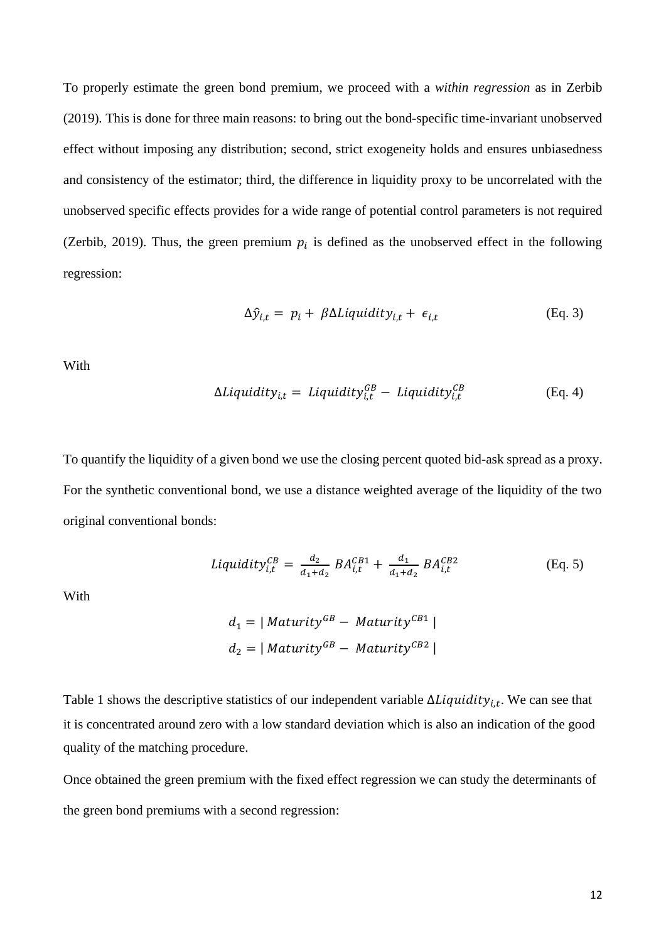To properly estimate the green bond premium, we proceed with a *within regression* as in Zerbib (2019)*.* This is done for three main reasons: to bring out the bond-specific time-invariant unobserved effect without imposing any distribution; second, strict exogeneity holds and ensures unbiasedness and consistency of the estimator; third, the difference in liquidity proxy to be uncorrelated with the unobserved specific effects provides for a wide range of potential control parameters is not required (Zerbib, 2019). Thus, the green premium  $p_i$  is defined as the unobserved effect in the following regression:

$$
\Delta \hat{y}_{i,t} = p_i + \beta \Delta Liquidity_{i,t} + \epsilon_{i,t} \tag{Eq. 3}
$$

With

$$
\Delta Liquidity_{i,t} = Liquidity_{i,t}^{GB} - Liquidity_{i,t}^{CB}
$$
 (Eq. 4)

To quantify the liquidity of a given bond we use the closing percent quoted bid-ask spread as a proxy. For the synthetic conventional bond, we use a distance weighted average of the liquidity of the two original conventional bonds:

$$
Liquidity_{i,t}^{CB} = \frac{d_2}{d_1 + d_2} BA_{i,t}^{CB1} + \frac{d_1}{d_1 + d_2} BA_{i,t}^{CB2}
$$
 (Eq. 5)

With

$$
d_1 = | \text{Maturity}^{GB} - \text{Maturity}^{CB1} |
$$
  

$$
d_2 = | \text{Maturity}^{GB} - \text{Maturity}^{CB2} |
$$

Table 1 shows the descriptive statistics of our independent variable  $\Delta Liquidity_{i,t}$ . We can see that it is concentrated around zero with a low standard deviation which is also an indication of the good quality of the matching procedure.

Once obtained the green premium with the fixed effect regression we can study the determinants of the green bond premiums with a second regression: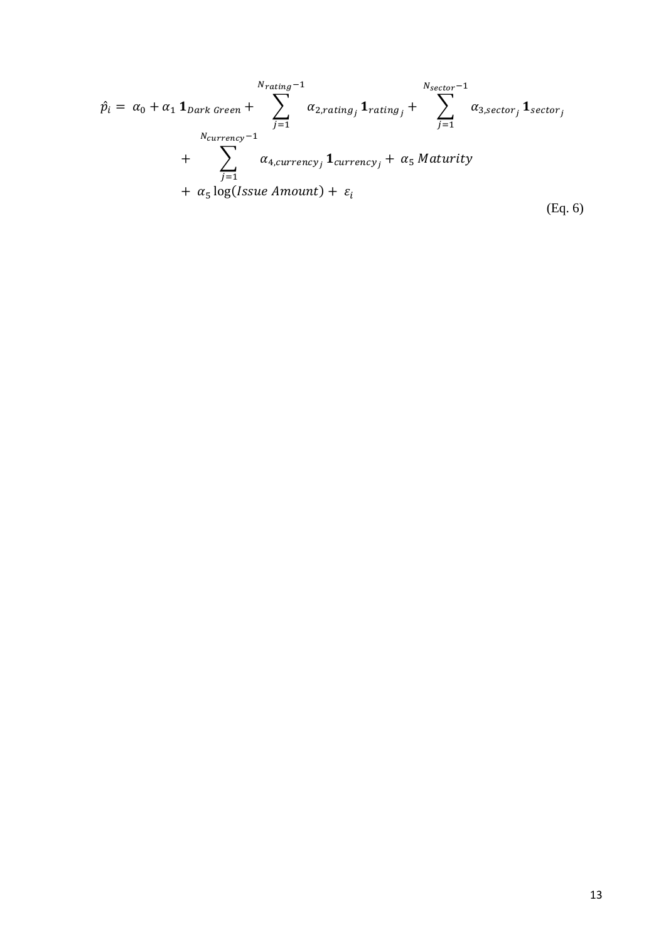$$
\hat{p}_i = \alpha_0 + \alpha_1 \mathbf{1}_{Dark\text{ Green}} + \sum_{j=1}^{N_{rating}-1} \alpha_{2,rating_j} \mathbf{1}_{rating_j} + \sum_{j=1}^{N_{sector}-1} \alpha_{3,sector_j} \mathbf{1}_{sector_j}
$$
\n
$$
+ \sum_{j=1}^{N_{currentcy}-1} \alpha_{4,currency_j} \mathbf{1}_{currency_j} + \alpha_5 \text{ Maturity}
$$
\n
$$
+ \alpha_5 \log( Issue\text{ Amount}) + \varepsilon_i
$$
\n(Eq. 6)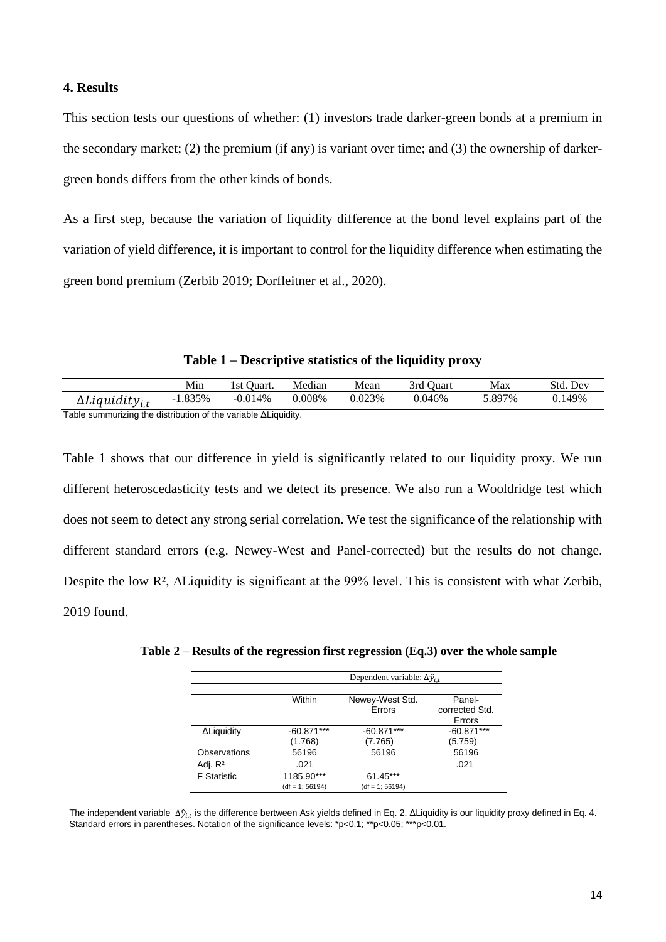#### <span id="page-13-0"></span>**4. Results**

This section tests our questions of whether: (1) investors trade darker-green bonds at a premium in the secondary market; (2) the premium (if any) is variant over time; and (3) the ownership of darkergreen bonds differs from the other kinds of bonds.

As a first step, because the variation of liquidity difference at the bond level explains part of the variation of yield difference, it is important to control for the liquidity difference when estimating the green bond premium (Zerbib 2019; Dorfleitner et al., 2020).

**Table 1 – Descriptive statistics of the liquidity proxy**

|                                                                        | Min       | l st Ouart. | Median | Mean    | 3rd Ouart | Max    | Std. Dev |
|------------------------------------------------------------------------|-----------|-------------|--------|---------|-----------|--------|----------|
| $\Delta$ <i>Liquidity<sub>it</sub></i>                                 | $-1.835%$ | $-0.014%$   | 0.008% | 0.023\% | 0.046%    | 5.897% | 0.149%   |
| Table summurizing the distribution of the variable $\Delta$ Liquidity. |           |             |        |         |           |        |          |

Table 1 shows that our difference in yield is significantly related to our liquidity proxy. We run different heteroscedasticity tests and we detect its presence. We also run a Wooldridge test which does not seem to detect any strong serial correlation. We test the significance of the relationship with different standard errors (e.g. Newey-West and Panel-corrected) but the results do not change. Despite the low R², ΔLiquidity is significant at the 99% level. This is consistent with what Zerbib, 2019 found.

|                     | Dependent variable: $\Delta \hat{y}_{i,t}$ |                           |                          |  |  |
|---------------------|--------------------------------------------|---------------------------|--------------------------|--|--|
|                     | Within                                     | Newey-West Std.<br>Errors | Panel-<br>corrected Std. |  |  |
|                     |                                            |                           | Errors                   |  |  |
| ΔLiquidity          | $-60.871***$                               | $-60.871***$              | $-60.871***$             |  |  |
|                     | (1.768)                                    | (7.765)                   | (5.759)                  |  |  |
| Observations        | 56196                                      | 56196                     | 56196                    |  |  |
| Adj. R <sup>2</sup> | .021                                       |                           | .021                     |  |  |
| <b>F</b> Statistic  | 1185.90***                                 | $61.45***$                |                          |  |  |
|                     | $(df = 1; 56194)$                          | $(df = 1: 56194)$         |                          |  |  |

**Table 2 – Results of the regression first regression (Eq.3) over the whole sample**

The independent variable  $\Delta \hat{y}_{i,t}$  is the difference bertween Ask yields defined in Eq. 2. ΔLiquidity is our liquidity proxy defined in Eq. 4. Standard errors in parentheses. Notation of the significance levels: \*p<0.1; \*\*p<0.05; \*\*\*p<0.01.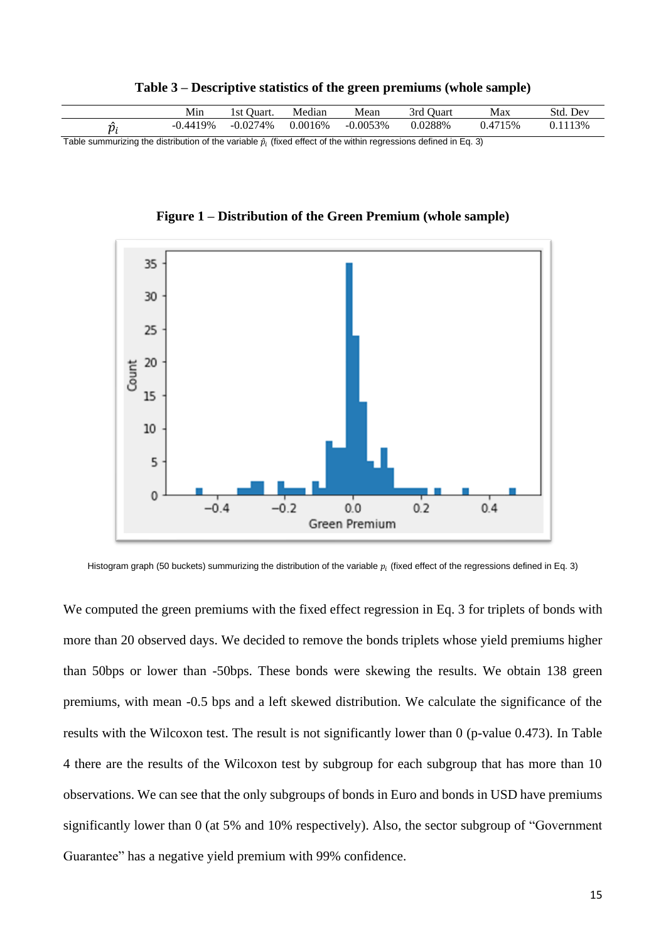|       |        | Mın       | ' Juart.<br>$^{\circ}$<br>∡SU⊺ | Median  | Mean       | 3rd<br>' Juart | Max   | Std.<br>Dev |
|-------|--------|-----------|--------------------------------|---------|------------|----------------|-------|-------------|
|       |        | 19%<br>ΔΔ | $-0.0274%$<br>$-U.U\subset I$  | 0.0016% | $-0.0053%$ | 0.0288%        | 1715% | 13%         |
| — · · | $\sim$ | .         | .                              | .       | .          | .<br>.         | $-1$  |             |

**Table 3 – Descriptive statistics of the green premiums (whole sample)**

Table summurizing the distribution of the variable  $\hat{p}_i$  (fixed effect of the within regressions defined in Eq. 3)

**Figure 1 – Distribution of the Green Premium (whole sample)**



Histogram graph (50 buckets) summurizing the distribution of the variable  $p_i$  (fixed effect of the regressions defined in Eq. 3)

We computed the green premiums with the fixed effect regression in Eq. 3 for triplets of bonds with more than 20 observed days. We decided to remove the bonds triplets whose yield premiums higher than 50bps or lower than -50bps. These bonds were skewing the results. We obtain 138 green premiums, with mean -0.5 bps and a left skewed distribution. We calculate the significance of the results with the Wilcoxon test. The result is not significantly lower than 0 (p-value 0.473). In Table 4 there are the results of the Wilcoxon test by subgroup for each subgroup that has more than 10 observations. We can see that the only subgroups of bonds in Euro and bonds in USD have premiums significantly lower than 0 (at 5% and 10% respectively). Also, the sector subgroup of "Government Guarantee" has a negative yield premium with 99% confidence.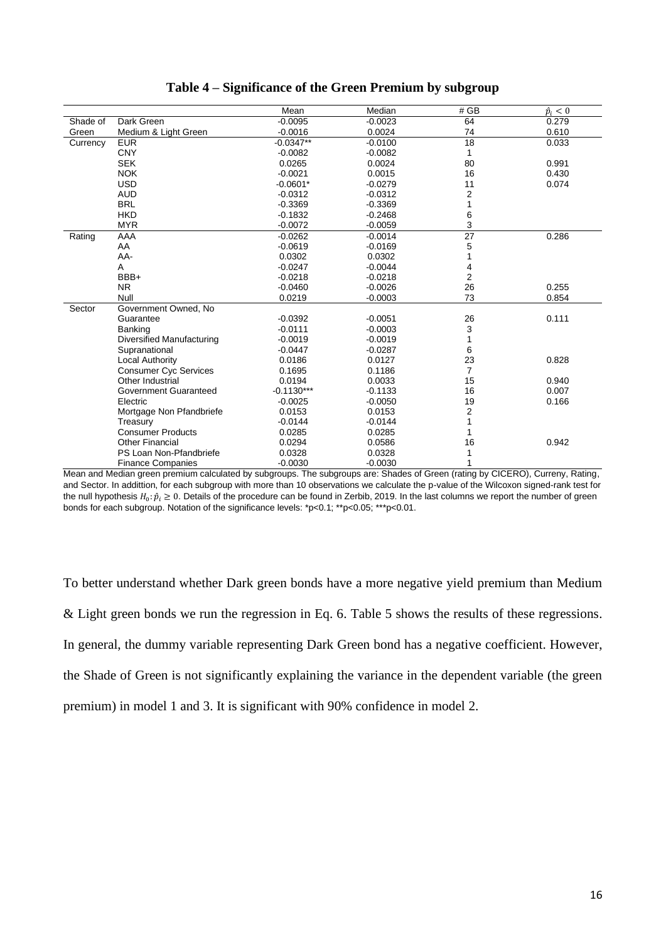|          |                                  | Mean         | Median    | # GB            | $\hat{p}_i < 0$ |
|----------|----------------------------------|--------------|-----------|-----------------|-----------------|
| Shade of | Dark Green                       | $-0.0095$    | $-0.0023$ | 64              | 0.279           |
| Green    | Medium & Light Green             | $-0.0016$    | 0.0024    | 74              | 0.610           |
| Currency | <b>EUR</b>                       | $-0.0347**$  | $-0.0100$ | 18              | 0.033           |
|          | <b>CNY</b>                       | $-0.0082$    | $-0.0082$ | 1               |                 |
|          | <b>SEK</b>                       | 0.0265       | 0.0024    | 80              | 0.991           |
|          | <b>NOK</b>                       | $-0.0021$    | 0.0015    | 16              | 0.430           |
|          | <b>USD</b>                       | $-0.0601*$   | $-0.0279$ | 11              | 0.074           |
|          | <b>AUD</b>                       | $-0.0312$    | $-0.0312$ | 2               |                 |
|          | <b>BRL</b>                       | $-0.3369$    | $-0.3369$ | 1               |                 |
|          | <b>HKD</b>                       | $-0.1832$    | $-0.2468$ | 6               |                 |
|          | <b>MYR</b>                       | $-0.0072$    | $-0.0059$ | 3               |                 |
| Rating   | AAA                              | $-0.0262$    | $-0.0014$ | $\overline{27}$ | 0.286           |
|          | AA                               | $-0.0619$    | $-0.0169$ | 5               |                 |
|          | AA-                              | 0.0302       | 0.0302    | 1               |                 |
|          | Α                                | $-0.0247$    | $-0.0044$ | 4               |                 |
|          | BBB+                             | $-0.0218$    | $-0.0218$ | $\overline{c}$  |                 |
|          | <b>NR</b>                        | $-0.0460$    | $-0.0026$ | 26              | 0.255           |
|          | Null                             | 0.0219       | $-0.0003$ | 73              | 0.854           |
| Sector   | Government Owned, No             |              |           |                 |                 |
|          | Guarantee                        | $-0.0392$    | $-0.0051$ | 26              | 0.111           |
|          | <b>Banking</b>                   | $-0.0111$    | $-0.0003$ | 3               |                 |
|          | <b>Diversified Manufacturing</b> | $-0.0019$    | $-0.0019$ | 1               |                 |
|          | Supranational                    | $-0.0447$    | $-0.0287$ | 6               |                 |
|          | Local Authority                  | 0.0186       | 0.0127    | 23              | 0.828           |
|          | <b>Consumer Cyc Services</b>     | 0.1695       | 0.1186    | $\overline{7}$  |                 |
|          | Other Industrial                 | 0.0194       | 0.0033    | 15              | 0.940           |
|          | Government Guaranteed            | $-0.1130***$ | $-0.1133$ | 16              | 0.007           |
|          | Electric                         | $-0.0025$    | $-0.0050$ | 19              | 0.166           |
|          | Mortgage Non Pfandbriefe         | 0.0153       | 0.0153    | 2               |                 |
|          | Treasury                         | $-0.0144$    | $-0.0144$ | 1               |                 |
|          | <b>Consumer Products</b>         | 0.0285       | 0.0285    | 1               |                 |
|          | <b>Other Financial</b>           | 0.0294       | 0.0586    | 16              | 0.942           |
|          | PS Loan Non-Pfandbriefe          | 0.0328       | 0.0328    | 1               |                 |
|          | <b>Finance Companies</b>         | $-0.0030$    | $-0.0030$ |                 |                 |

#### **Table 4 – Significance of the Green Premium by subgroup**

Mean and Median green premium calculated by subgroups. The subgroups are: Shades of Green (rating by CICERO), Curreny, Rating, and Sector. In addittion, for each subgroup with more than 10 observations we calculate the p-value of the Wilcoxon signed-rank test for the null hypothesis  $H_0: \hat{p}_i \geq 0$ . Details of the procedure can be found in Zerbib, 2019. In the last columns we report the number of green bonds for each subgroup. Notation of the significance levels: \*p<0.1; \*\*p<0.05; \*\*\*p<0.01.

To better understand whether Dark green bonds have a more negative yield premium than Medium & Light green bonds we run the regression in Eq. 6. Table 5 shows the results of these regressions. In general, the dummy variable representing Dark Green bond has a negative coefficient. However, the Shade of Green is not significantly explaining the variance in the dependent variable (the green premium) in model 1 and 3. It is significant with 90% confidence in model 2.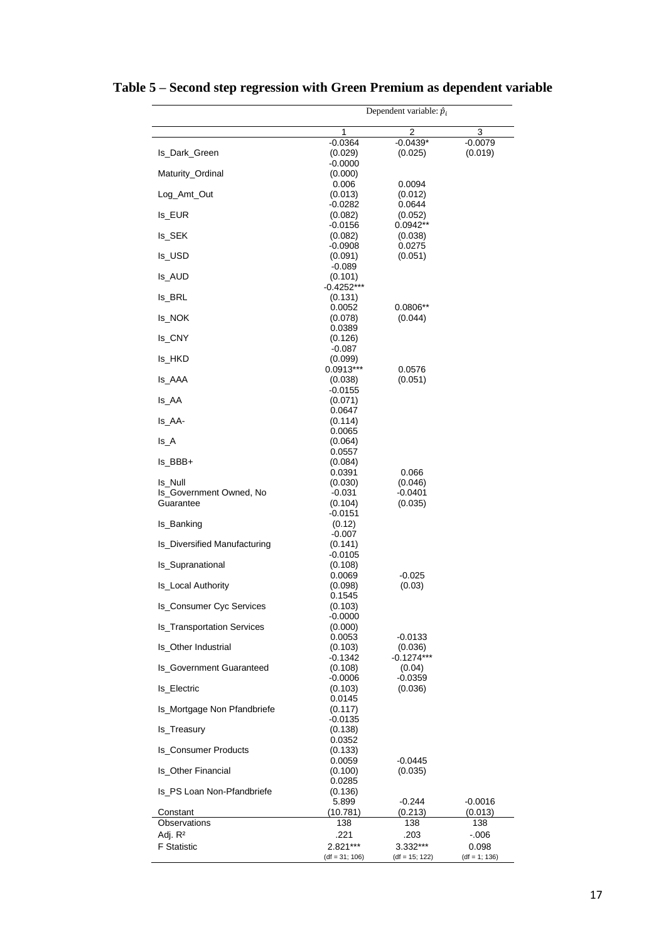|                                      | Dependent variable: $\hat{p}_i$ |                         |                 |  |  |
|--------------------------------------|---------------------------------|-------------------------|-----------------|--|--|
|                                      | 1                               | $\overline{2}$          | 3               |  |  |
|                                      | $-0.0364$                       | $-0.0439*$              | $-0.0079$       |  |  |
| Is_Dark_Green                        | (0.029)                         | (0.025)                 | (0.019)         |  |  |
|                                      | $-0.0000$                       |                         |                 |  |  |
| Maturity_Ordinal                     | (0.000)<br>0.006                | 0.0094                  |                 |  |  |
| Log_Amt_Out                          | (0.013)                         | (0.012)                 |                 |  |  |
|                                      | $-0.0282$                       | 0.0644                  |                 |  |  |
| Is_EUR                               | (0.082)                         | (0.052)                 |                 |  |  |
| Is_SEK                               | $-0.0156$                       | $0.0942**$              |                 |  |  |
|                                      | (0.082)<br>$-0.0908$            | (0.038)<br>0.0275       |                 |  |  |
| ls_USD                               | (0.091)                         | (0.051)                 |                 |  |  |
|                                      | $-0.089$                        |                         |                 |  |  |
| Is_AUD                               | (0.101)<br>$-0.4252***$         |                         |                 |  |  |
| Is_BRL                               | (0.131)                         |                         |                 |  |  |
|                                      | 0.0052                          | $0.0806**$              |                 |  |  |
| Is_NOK                               | (0.078)                         | (0.044)                 |                 |  |  |
|                                      | 0.0389                          |                         |                 |  |  |
| Is_CNY                               | (0.126)<br>$-0.087$             |                         |                 |  |  |
| Is_HKD                               | (0.099)                         |                         |                 |  |  |
|                                      | 0.0913***                       | 0.0576                  |                 |  |  |
| Is_AAA                               | (0.038)                         | (0.051)                 |                 |  |  |
| Is_AA                                | $-0.0155$<br>(0.071)            |                         |                 |  |  |
|                                      | 0.0647                          |                         |                 |  |  |
| Is_AA-                               | (0.114)                         |                         |                 |  |  |
|                                      | 0.0065                          |                         |                 |  |  |
| $Is_A$                               | (0.064)<br>0.0557               |                         |                 |  |  |
| Is_BBB+                              | (0.084)                         |                         |                 |  |  |
|                                      | 0.0391                          | 0.066                   |                 |  |  |
| Is_Null                              | (0.030)                         | (0.046)                 |                 |  |  |
| Is_Government Owned, No<br>Guarantee | $-0.031$<br>(0.104)             | -0.0401<br>(0.035)      |                 |  |  |
|                                      | $-0.0151$                       |                         |                 |  |  |
| Is_Banking                           | (0.12)                          |                         |                 |  |  |
|                                      | $-0.007$                        |                         |                 |  |  |
| Is_Diversified Manufacturing         | (0.141)<br>$-0.0105$            |                         |                 |  |  |
| Is_Supranational                     | (0.108)                         |                         |                 |  |  |
|                                      | 0.0069                          | $-0.025$                |                 |  |  |
| Is_Local Authority                   | (0.098)                         | (0.03)                  |                 |  |  |
| Is_Consumer Cyc Services             | 0.1545                          |                         |                 |  |  |
|                                      | (0.103)<br>$-0.0000$            |                         |                 |  |  |
| <b>Is Transportation Services</b>    | (0.000)                         |                         |                 |  |  |
|                                      | 0.0053                          | $-0.0133$               |                 |  |  |
| Is_Other Industrial                  | (0.103)<br>$-0.1342$            | (0.036)<br>$-0.1274***$ |                 |  |  |
| <b>Is_Government Guaranteed</b>      | (0.108)                         | (0.04)                  |                 |  |  |
|                                      | $-0.0006$                       | $-0.0359$               |                 |  |  |
| Is_Electric                          | (0.103)                         | (0.036)                 |                 |  |  |
| Is_Mortgage Non Pfandbriefe          | 0.0145<br>(0.117)               |                         |                 |  |  |
|                                      | $-0.0135$                       |                         |                 |  |  |
| Is_Treasury                          | (0.138)                         |                         |                 |  |  |
|                                      | 0.0352                          |                         |                 |  |  |
| Is_Consumer Products                 | (0.133)<br>0.0059               | $-0.0445$               |                 |  |  |
| Is_Other Financial                   | (0.100)                         | (0.035)                 |                 |  |  |
|                                      | 0.0285                          |                         |                 |  |  |
| Is_PS Loan Non-Pfandbriefe           | (0.136)                         |                         |                 |  |  |
|                                      | 5.899                           | $-0.244$                | $-0.0016$       |  |  |
| Constant<br>Observations             | (10.781)<br>138                 | (0.213)<br>138          | (0.013)<br>138  |  |  |
| Adj. R <sup>2</sup>                  | .221                            | .203                    | $-0.06$         |  |  |
| <b>F</b> Statistic                   | 2.821***                        | 3.332***                | 0.098           |  |  |
|                                      | $(df = 31; 106)$                | $(df = 15; 122)$        | $(df = 1; 136)$ |  |  |

# **Table 5 – Second step regression with Green Premium as dependent variable**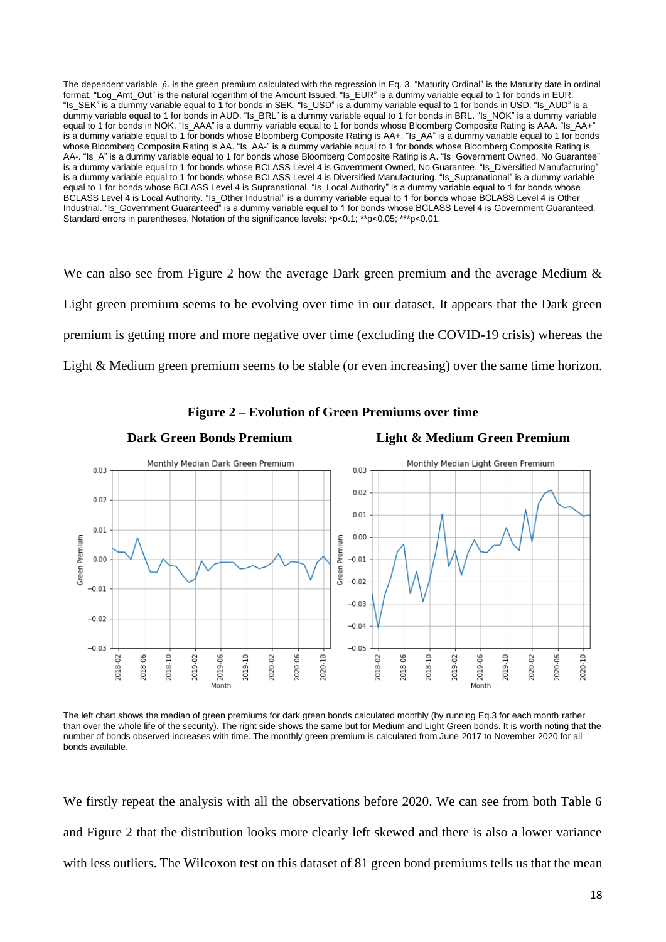The dependent variable  $\,\hat p_i$  is the green premium calculated with the regression in Eq. 3. "Maturity Ordinal" is the Maturity date in ordinal format. "Log Amt Out" is the natural logarithm of the Amount Issued. "Is EUR" is a dummy variable equal to 1 for bonds in EUR. "Is\_SEK" is a dummy variable equal to 1 for bonds in SEK. "Is\_USD" is a dummy variable equal to 1 for bonds in USD. "Is\_AUD" is a dummy variable equal to 1 for bonds in AUD. "Is\_BRL" is a dummy variable equal to 1 for bonds in BRL. "Is\_NOK" is a dummy variable equal to 1 for bonds in NOK. "Is\_AAA" is a dummy variable equal to 1 for bonds whose Bloomberg Composite Rating is AAA. "Is\_AA+" is a dummy variable equal to 1 for bonds whose Bloomberg Composite Rating is AA+. "Is\_AA" is a dummy variable equal to 1 for bonds whose Bloomberg Composite Rating is AA. "Is\_AA-" is a dummy variable equal to 1 for bonds whose Bloomberg Composite Rating is AA-. "Is\_A" is a dummy variable equal to 1 for bonds whose Bloomberg Composite Rating is A. "Is\_Government Owned, No Guarantee" is a dummy variable equal to 1 for bonds whose BCLASS Level 4 is Government Owned, No Guarantee. "Is Diversified Manufacturing" is a dummy variable equal to 1 for bonds whose BCLASS Level 4 is Diversified Manufacturing. "Is\_Supranational" is a dummy variable equal to 1 for bonds whose BCLASS Level 4 is Supranational. "Is Local Authority" is a dummy variable equal to 1 for bonds whose BCLASS Level 4 is Local Authority. "Is Other Industrial" is a dummy variable equal to 1 for bonds whose BCLASS Level 4 is Other Industrial. "Is Government Guaranteed" is a dummy variable equal to 1 for bonds whose BCLASS Level 4 is Government Guaranteed. Standard errors in parentheses. Notation of the significance levels: \*p<0.1; \*\*p<0.05; \*\*\*p<0.01.

We can also see from Figure 2 how the average Dark green premium and the average Medium & Light green premium seems to be evolving over time in our dataset. It appears that the Dark green premium is getting more and more negative over time (excluding the COVID-19 crisis) whereas the Light & Medium green premium seems to be stable (or even increasing) over the same time horizon.



#### **Figure 2 – Evolution of Green Premiums over time**

The left chart shows the median of green premiums for dark green bonds calculated monthly (by running Eq.3 for each month rather than over the whole life of the security). The right side shows the same but for Medium and Light Green bonds. It is worth noting that the number of bonds observed increases with time. The monthly green premium is calculated from June 2017 to November 2020 for all bonds available.

We firstly repeat the analysis with all the observations before 2020. We can see from both Table 6 and Figure 2 that the distribution looks more clearly left skewed and there is also a lower variance with less outliers. The Wilcoxon test on this dataset of 81 green bond premiums tells us that the mean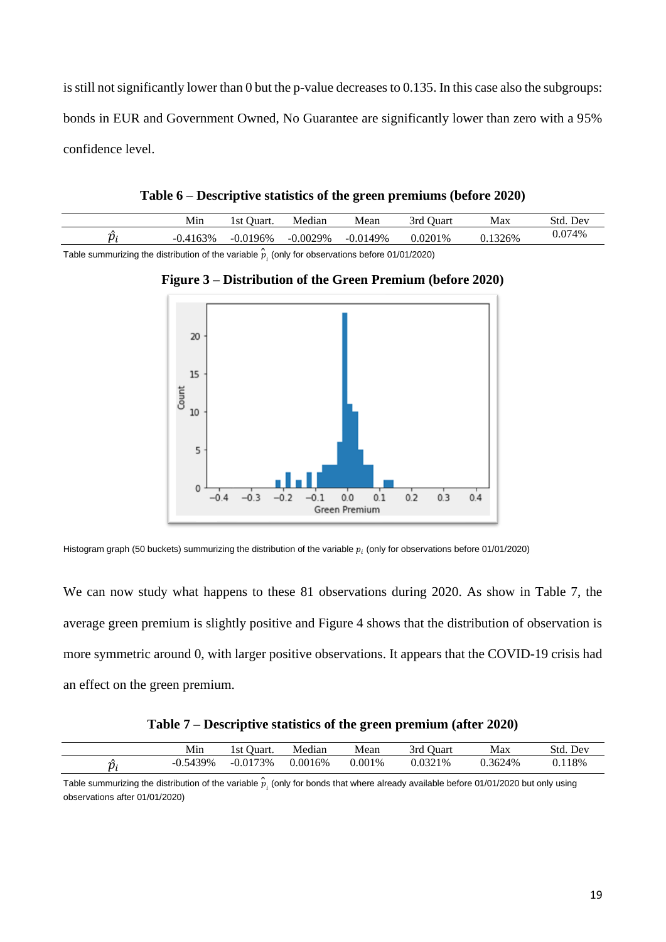is still not significantly lower than 0 but the p-value decreases to 0.135. In this case also the subgroups: bonds in EUR and Government Owned, No Guarantee are significantly lower than zero with a 95% confidence level.

| Table 6 – Descriptive statistics of the green premiums (before 2020) |
|----------------------------------------------------------------------|
|                                                                      |

Min 1st Quart. Median Mean 3rd Quart Max Std. Dev

 $\hat{p}_i$  -0.4163% -0.0196% -0.0029% -0.0149% 0.0201% 0.1326% 0.074% Table summurizing the distribution of the variable  $\hat{p}_{i}^{}$  (only for observations before 01/01/2020)



**Figure 3 – Distribution of the Green Premium (before 2020)**

Histogram graph (50 buckets) summurizing the distribution of the variable  $p_i$  (only for observations before 01/01/2020)

We can now study what happens to these 81 observations during 2020. As show in Table 7, the average green premium is slightly positive and Figure 4 shows that the distribution of observation is more symmetric around 0, with larger positive observations. It appears that the COVID-19 crisis had an effect on the green premium.

| Table 7 – Descriptive statistics of the green premium (after 2020) |  |  |
|--------------------------------------------------------------------|--|--|
|--------------------------------------------------------------------|--|--|

| Min        | Ouart.<br>1st ( | Median  | Mean   | Ouart<br>3rd | Max     | Std.<br>Dev |
|------------|-----------------|---------|--------|--------------|---------|-------------|
| $-0.5439%$ | $-0.0173%$      | 0.0016% | 0.001% | 0.0321%      | 0.3624% | 0.118%      |

Table summurizing the distribution of the variable  $\hat{p}_i^{}$  (only for bonds that where already available before 01/01/2020 but only using observations after 01/01/2020)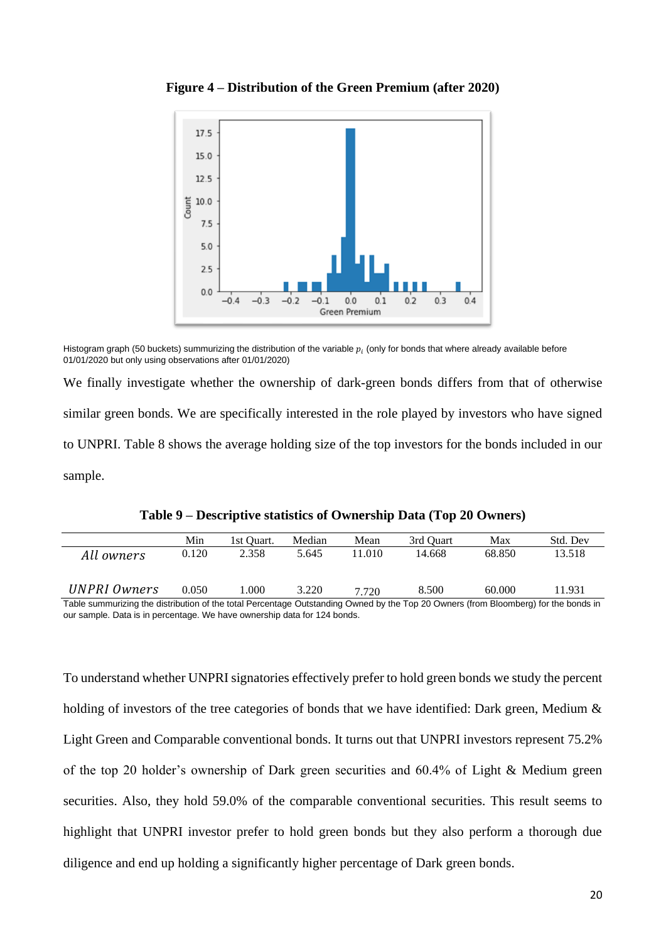

**Figure 4 – Distribution of the Green Premium (after 2020)**

Histogram graph (50 buckets) summurizing the distribution of the variable  $p_i$  (only for bonds that where already available before 01/01/2020 but only using observations after 01/01/2020)

We finally investigate whether the ownership of dark-green bonds differs from that of otherwise similar green bonds. We are specifically interested in the role played by investors who have signed to UNPRI. Table 8 shows the average holding size of the top investors for the bonds included in our sample.

|                                                                                                                                     | Min   | 1st Ouart. | Median | Mean   | 3rd Ouart | Max    | Std. Dev |
|-------------------------------------------------------------------------------------------------------------------------------------|-------|------------|--------|--------|-----------|--------|----------|
| All owners                                                                                                                          | 0.120 | 2.358      | 5.645  | 11.010 | 14.668    | 68.850 | 13.518   |
|                                                                                                                                     |       |            |        |        |           |        |          |
| UNPRI Owners                                                                                                                        | 0.050 | 1.000      | 3.220  | 7.720  | 8.500     | 60.000 | 11.931   |
| Table summurizing the distribution of the total Percentage Outstanding Owned by the Top 20 Owners (from Bloomberg) for the bonds in |       |            |        |        |           |        |          |

**Table 9 – Descriptive statistics of Ownership Data (Top 20 Owners)**

our sample. Data is in percentage. We have ownership data for 124 bonds.

To understand whether UNPRI signatories effectively prefer to hold green bonds we study the percent holding of investors of the tree categories of bonds that we have identified: Dark green, Medium  $\&$ Light Green and Comparable conventional bonds. It turns out that UNPRI investors represent 75.2% of the top 20 holder's ownership of Dark green securities and 60.4% of Light & Medium green securities. Also, they hold 59.0% of the comparable conventional securities. This result seems to highlight that UNPRI investor prefer to hold green bonds but they also perform a thorough due diligence and end up holding a significantly higher percentage of Dark green bonds.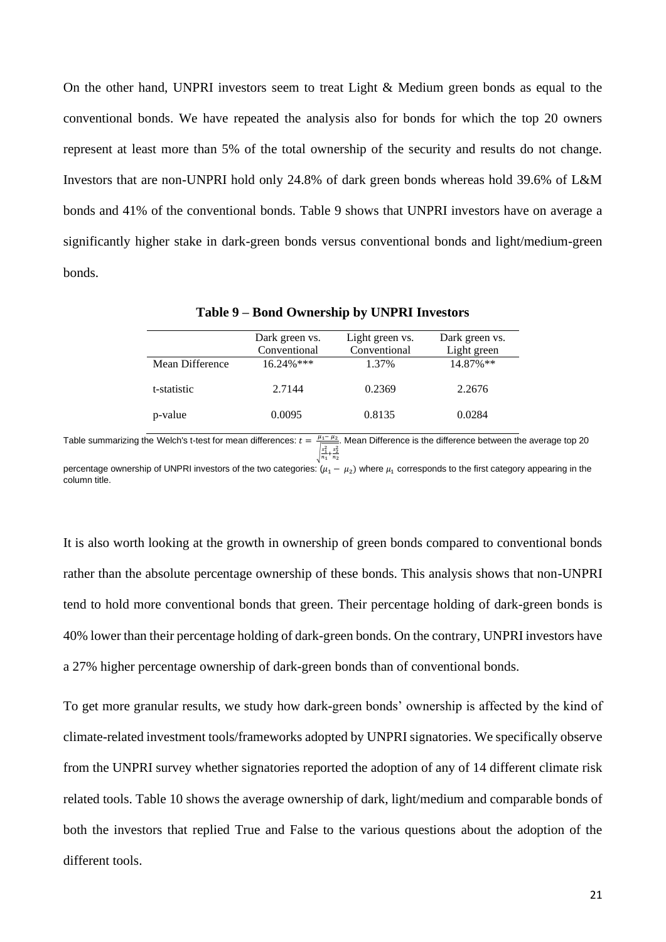On the other hand, UNPRI investors seem to treat Light & Medium green bonds as equal to the conventional bonds. We have repeated the analysis also for bonds for which the top 20 owners represent at least more than 5% of the total ownership of the security and results do not change. Investors that are non-UNPRI hold only 24.8% of dark green bonds whereas hold 39.6% of L&M bonds and 41% of the conventional bonds. Table 9 shows that UNPRI investors have on average a significantly higher stake in dark-green bonds versus conventional bonds and light/medium-green bonds.

|                 | Dark green vs.<br>Light green vs. |              | Dark green vs. |
|-----------------|-----------------------------------|--------------|----------------|
|                 | Conventional                      | Conventional | Light green    |
| Mean Difference | $16.24\%$ ***                     | 1.37%        | 14.87%**       |
| t-statistic     | 2.7144                            | 0.2369       | 2.2676         |
| p-value         | 0.0095                            | 0.8135       | 0.0284         |

**Table 9 – Bond Ownership by UNPRI Investors** 

Table summarizing the Welch's t-test for mean differences:  $t = \frac{\mu_1-\mu_2}{\mu_1-\mu_2}$ . Mean Difference is the difference between the average top 20 √ 1 2  $\frac{s_1^2}{n_1} + \frac{s_2^2}{n_2}$  $n<sub>2</sub>$ 

percentage ownership of UNPRI investors of the two categories:  $(\mu_1 - \mu_2)$  where  $\mu_1$  corresponds to the first category appearing in the column title.

It is also worth looking at the growth in ownership of green bonds compared to conventional bonds rather than the absolute percentage ownership of these bonds. This analysis shows that non-UNPRI tend to hold more conventional bonds that green. Their percentage holding of dark-green bonds is 40% lower than their percentage holding of dark-green bonds. On the contrary, UNPRI investors have a 27% higher percentage ownership of dark-green bonds than of conventional bonds.

To get more granular results, we study how dark-green bonds' ownership is affected by the kind of climate-related investment tools/frameworks adopted by UNPRI signatories. We specifically observe from the UNPRI survey whether signatories reported the adoption of any of 14 different climate risk related tools. Table 10 shows the average ownership of dark, light/medium and comparable bonds of both the investors that replied True and False to the various questions about the adoption of the different tools.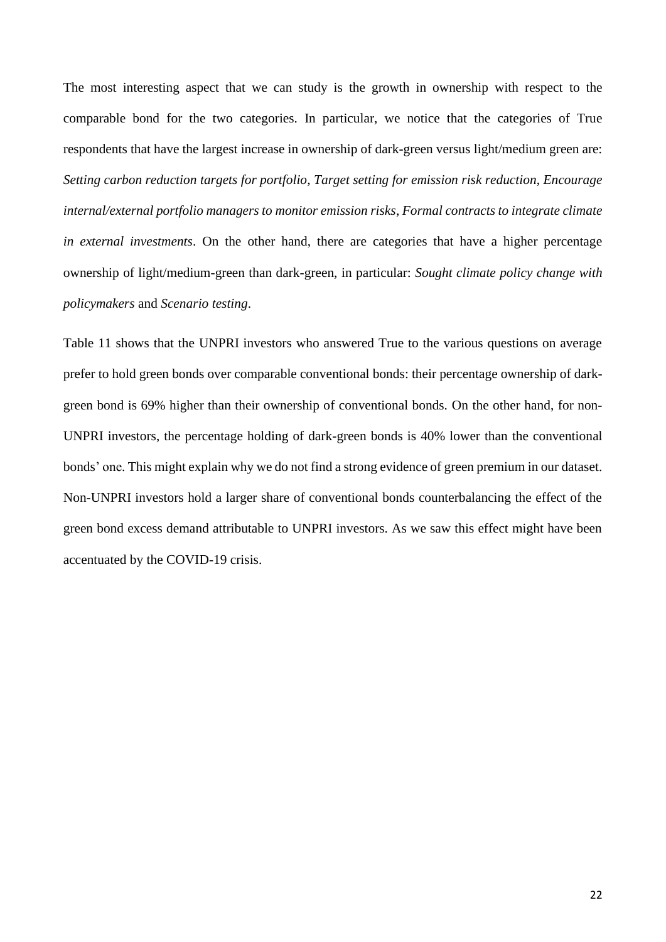The most interesting aspect that we can study is the growth in ownership with respect to the comparable bond for the two categories. In particular, we notice that the categories of True respondents that have the largest increase in ownership of dark-green versus light/medium green are: *Setting carbon reduction targets for portfolio*, *Target setting for emission risk reduction*, *Encourage internal/external portfolio managers to monitor emission risks*, *Formal contracts to integrate climate in external investments*. On the other hand, there are categories that have a higher percentage ownership of light/medium-green than dark-green, in particular: *Sought climate policy change with policymakers* and *Scenario testing*.

Table 11 shows that the UNPRI investors who answered True to the various questions on average prefer to hold green bonds over comparable conventional bonds: their percentage ownership of darkgreen bond is 69% higher than their ownership of conventional bonds. On the other hand, for non-UNPRI investors, the percentage holding of dark-green bonds is 40% lower than the conventional bonds' one. This might explain why we do not find a strong evidence of green premium in our dataset. Non-UNPRI investors hold a larger share of conventional bonds counterbalancing the effect of the green bond excess demand attributable to UNPRI investors. As we saw this effect might have been accentuated by the COVID-19 crisis.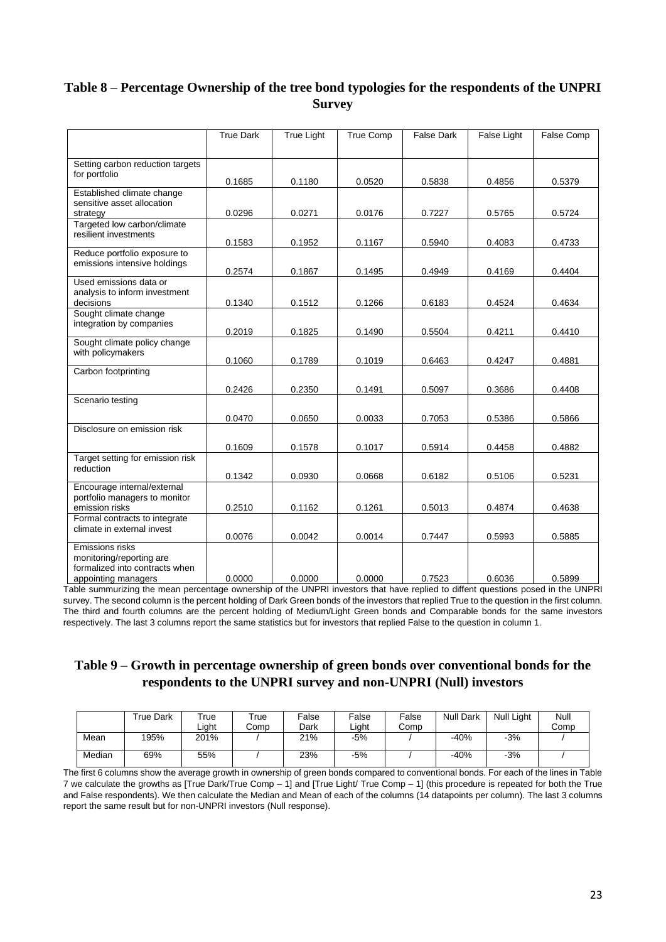# **Table 8 – Percentage Ownership of the tree bond typologies for the respondents of the UNPRI Survey**

|                                                                                                      | <b>True Dark</b> | <b>True Light</b> | <b>True Comp</b> | <b>False Dark</b> | <b>False Light</b> | <b>False Comp</b> |
|------------------------------------------------------------------------------------------------------|------------------|-------------------|------------------|-------------------|--------------------|-------------------|
| Setting carbon reduction targets                                                                     |                  |                   |                  |                   |                    |                   |
| for portfolio                                                                                        | 0.1685           | 0.1180            | 0.0520           | 0.5838            | 0.4856             | 0.5379            |
| Established climate change<br>sensitive asset allocation<br>strategy                                 | 0.0296           | 0.0271            | 0.0176           | 0.7227            | 0.5765             | 0.5724            |
| Targeted low carbon/climate<br>resilient investments                                                 | 0.1583           | 0.1952            | 0.1167           | 0.5940            | 0.4083             | 0.4733            |
| Reduce portfolio exposure to<br>emissions intensive holdings                                         | 0.2574           | 0.1867            | 0.1495           | 0.4949            | 0.4169             | 0.4404            |
| Used emissions data or<br>analysis to inform investment<br>decisions                                 | 0.1340           | 0.1512            | 0.1266           | 0.6183            | 0.4524             | 0.4634            |
| Sought climate change<br>integration by companies                                                    | 0.2019           | 0.1825            | 0.1490           | 0.5504            | 0.4211             | 0.4410            |
| Sought climate policy change<br>with policymakers                                                    | 0.1060           | 0.1789            | 0.1019           | 0.6463            | 0.4247             | 0.4881            |
| Carbon footprinting                                                                                  | 0.2426           | 0.2350            | 0.1491           | 0.5097            | 0.3686             | 0.4408            |
| Scenario testing                                                                                     |                  |                   |                  |                   |                    |                   |
| Disclosure on emission risk                                                                          | 0.0470           | 0.0650            | 0.0033           | 0.7053            | 0.5386             | 0.5866            |
|                                                                                                      | 0.1609           | 0.1578            | 0.1017           | 0.5914            | 0.4458             | 0.4882            |
| Target setting for emission risk<br>reduction                                                        | 0.1342           | 0.0930            | 0.0668           | 0.6182            | 0.5106             | 0.5231            |
| Encourage internal/external<br>portfolio managers to monitor<br>emission risks                       | 0.2510           | 0.1162            | 0.1261           | 0.5013            | 0.4874             | 0.4638            |
| Formal contracts to integrate<br>climate in external invest                                          | 0.0076           | 0.0042            | 0.0014           | 0.7447            | 0.5993             | 0.5885            |
| Emissions risks<br>monitoring/reporting are<br>formalized into contracts when<br>appointing managers | 0.0000           | 0.0000            | 0.0000           | 0.7523            | 0.6036             | 0.5899            |

Table summurizing the mean percentage ownership of the UNPRI investors that have replied to diffent questions posed in the UNPRI survey. The second column is the percent holding of Dark Green bonds of the investors that replied True to the question in the first column. The third and fourth columns are the percent holding of Medium/Light Green bonds and Comparable bonds for the same investors respectively. The last 3 columns report the same statistics but for investors that replied False to the question in column 1.

### **Table 9 – Growth in percentage ownership of green bonds over conventional bonds for the respondents to the UNPRI survey and non-UNPRI (Null) investors**

|        | True Dark | rue<br>Liaht | -rue<br>Comp | False<br>Dark | False<br>Liaht | False<br>Comp | <b>Null Dark</b> | Null Light | Null<br>Comp |
|--------|-----------|--------------|--------------|---------------|----------------|---------------|------------------|------------|--------------|
| Mean   | 195%      | 201%         |              | 21%           | $-5%$          |               | $-40%$           | $-3%$      |              |
| Median | 69%       | 55%          |              | 23%           | $-5%$          |               | $-40%$           | $-3%$      |              |

The first 6 columns show the average growth in ownership of green bonds compared to conventional bonds. For each of the lines in Table 7 we calculate the growths as [True Dark/True Comp – 1] and [True Light/ True Comp – 1] (this procedure is repeated for both the True and False respondents). We then calculate the Median and Mean of each of the columns (14 datapoints per column). The last 3 columns report the same result but for non-UNPRI investors (Null response).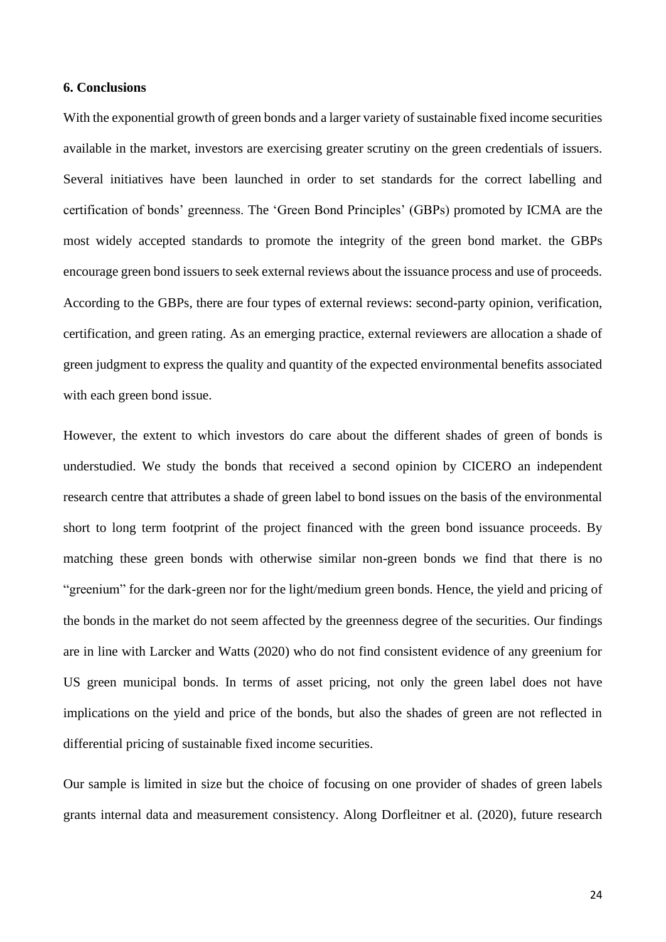#### <span id="page-23-0"></span>**6. Conclusions**

With the exponential growth of green bonds and a larger variety of sustainable fixed income securities available in the market, investors are exercising greater scrutiny on the green credentials of issuers. Several initiatives have been launched in order to set standards for the correct labelling and certification of bonds' greenness. The 'Green Bond Principles' (GBPs) promoted by ICMA are the most widely accepted standards to promote the integrity of the green bond market. the GBPs encourage green bond issuers to seek external reviews about the issuance process and use of proceeds. According to the GBPs, there are four types of external reviews: second-party opinion, verification, certification, and green rating. As an emerging practice, external reviewers are allocation a shade of green judgment to express the quality and quantity of the expected environmental benefits associated with each green bond issue.

However, the extent to which investors do care about the different shades of green of bonds is understudied. We study the bonds that received a second opinion by CICERO an independent research centre that attributes a shade of green label to bond issues on the basis of the environmental short to long term footprint of the project financed with the green bond issuance proceeds. By matching these green bonds with otherwise similar non-green bonds we find that there is no "greenium" for the dark-green nor for the light/medium green bonds. Hence, the yield and pricing of the bonds in the market do not seem affected by the greenness degree of the securities. Our findings are in line with Larcker and Watts (2020) who do not find consistent evidence of any greenium for US green municipal bonds. In terms of asset pricing, not only the green label does not have implications on the yield and price of the bonds, but also the shades of green are not reflected in differential pricing of sustainable fixed income securities.

Our sample is limited in size but the choice of focusing on one provider of shades of green labels grants internal data and measurement consistency. Along Dorfleitner et al. (2020), future research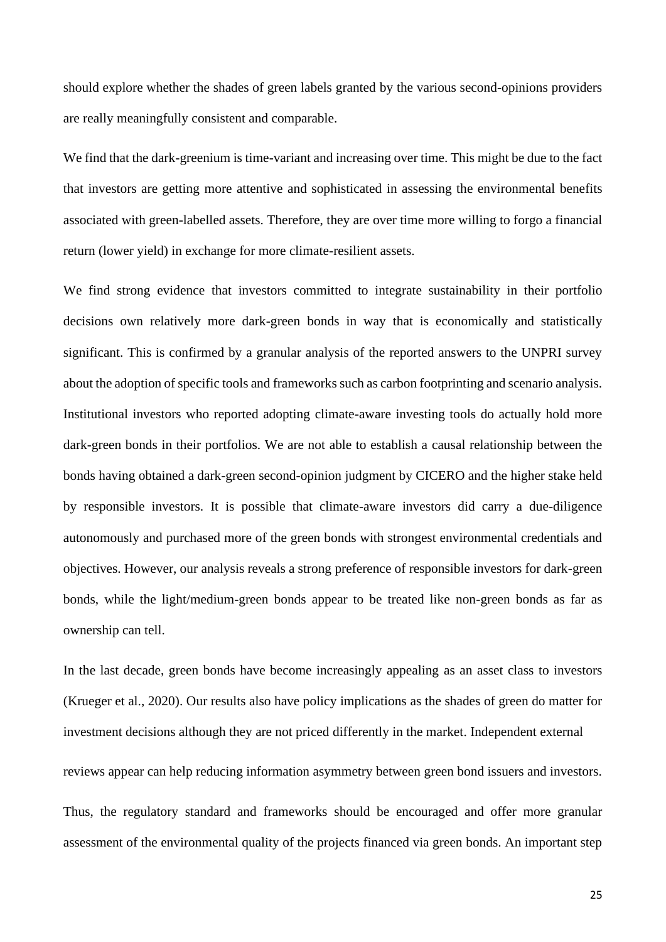should explore whether the shades of green labels granted by the various second-opinions providers are really meaningfully consistent and comparable.

We find that the dark-greenium is time-variant and increasing over time. This might be due to the fact that investors are getting more attentive and sophisticated in assessing the environmental benefits associated with green-labelled assets. Therefore, they are over time more willing to forgo a financial return (lower yield) in exchange for more climate-resilient assets.

We find strong evidence that investors committed to integrate sustainability in their portfolio decisions own relatively more dark-green bonds in way that is economically and statistically significant. This is confirmed by a granular analysis of the reported answers to the UNPRI survey about the adoption of specific tools and frameworks such as carbon footprinting and scenario analysis. Institutional investors who reported adopting climate-aware investing tools do actually hold more dark-green bonds in their portfolios. We are not able to establish a causal relationship between the bonds having obtained a dark-green second-opinion judgment by CICERO and the higher stake held by responsible investors. It is possible that climate-aware investors did carry a due-diligence autonomously and purchased more of the green bonds with strongest environmental credentials and objectives. However, our analysis reveals a strong preference of responsible investors for dark-green bonds, while the light/medium-green bonds appear to be treated like non-green bonds as far as ownership can tell.

In the last decade, green bonds have become increasingly appealing as an asset class to investors (Krueger et al., 2020). Our results also have policy implications as the shades of green do matter for investment decisions although they are not priced differently in the market. Independent external reviews appear can help reducing information asymmetry between green bond issuers and investors. Thus, the regulatory standard and frameworks should be encouraged and offer more granular assessment of the environmental quality of the projects financed via green bonds. An important step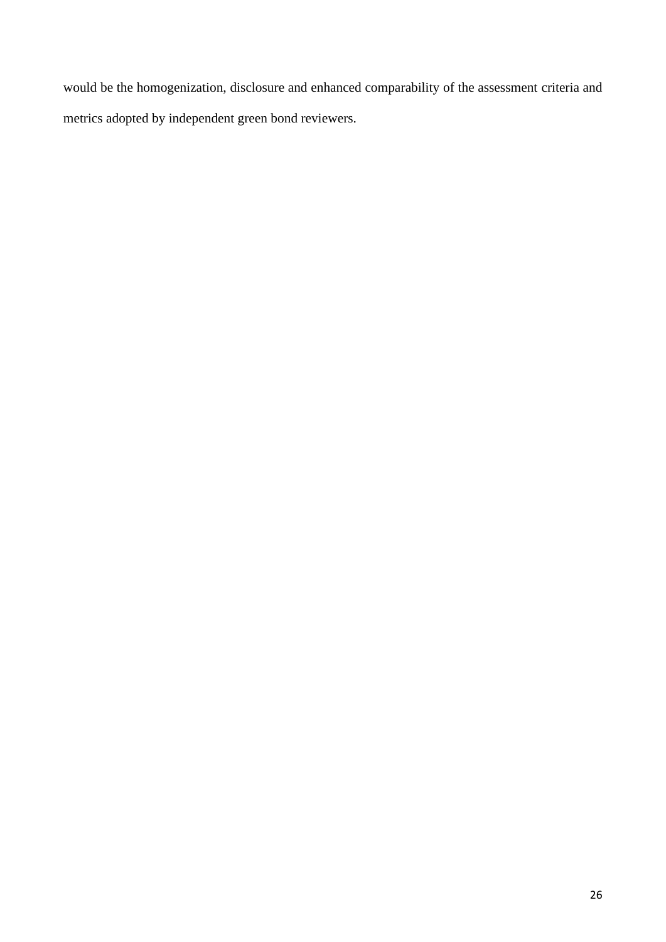would be the homogenization, disclosure and enhanced comparability of the assessment criteria and metrics adopted by independent green bond reviewers.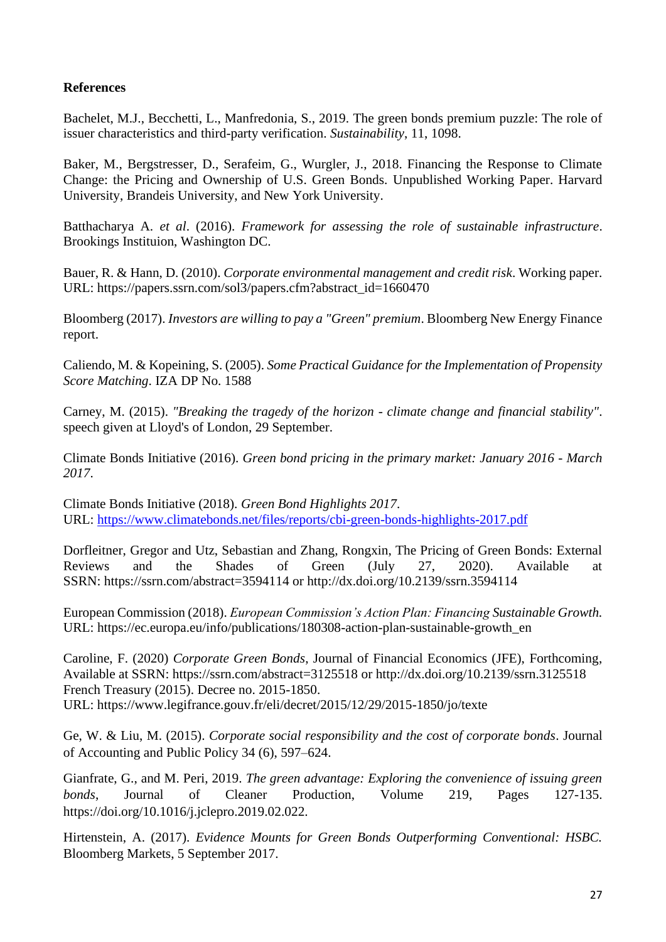# **References**

Bachelet, M.J., Becchetti, L., Manfredonia, S., 2019. The green bonds premium puzzle: The role of issuer characteristics and third-party verification. *Sustainability*, 11, 1098.

Baker, M., Bergstresser, D., Serafeim, G., Wurgler, J., 2018. Financing the Response to Climate Change: the Pricing and Ownership of U.S. Green Bonds. Unpublished Working Paper. Harvard University, Brandeis University, and New York University.

Batthacharya A. *et al*. (2016). *Framework for assessing the role of sustainable infrastructure*. Brookings Instituion, Washington DC.

Bauer, R. & Hann, D. (2010). *Corporate environmental management and credit risk*. Working paper. URL: https://papers.ssrn.com/sol3/papers.cfm?abstract\_id=1660470

Bloomberg (2017). *Investors are willing to pay a "Green" premium*. Bloomberg New Energy Finance report.

Caliendo, M. & Kopeining, S. (2005). *Some Practical Guidance for the Implementation of Propensity Score Matching*. IZA DP No. 1588

Carney, M. (2015). *"Breaking the tragedy of the horizon - climate change and financial stability"*. speech given at Lloyd's of London, 29 September.

Climate Bonds Initiative (2016). *Green bond pricing in the primary market: January 2016 - March 2017*.

Climate Bonds Initiative (2018). *Green Bond Highlights 2017*. URL:<https://www.climatebonds.net/files/reports/cbi-green-bonds-highlights-2017.pdf>

Dorfleitner, Gregor and Utz, Sebastian and Zhang, Rongxin, The Pricing of Green Bonds: External Reviews and the Shades of Green (July 27, 2020). Available at SSRN: <https://ssrn.com/abstract=3594114> or [http://dx.doi.org/10.2139/ssrn.3594114](https://dx.doi.org/10.2139/ssrn.3594114)

European Commission (2018). *European Commission's Action Plan: Financing Sustainable Growth.*  URL: https://ec.europa.eu/info/publications/180308-action-plan-sustainable-growth\_en

Caroline, F. (2020) *Corporate Green Bonds*, Journal of Financial Economics (JFE), Forthcoming, Available at SSRN: <https://ssrn.com/abstract=3125518> or [http://dx.doi.org/10.2139/ssrn.3125518](https://dx.doi.org/10.2139/ssrn.3125518) French Treasury (2015). Decree no. 2015-1850. URL: https://www.legifrance.gouv.fr/eli/decret/2015/12/29/2015-1850/jo/texte

Ge, W. & Liu, M. (2015). *Corporate social responsibility and the cost of corporate bonds*. Journal of Accounting and Public Policy 34 (6), 597–624.

Gianfrate, G., and M. Peri, 2019. *The green advantage: Exploring the convenience of issuing green bonds*, Journal of Cleaner Production, Volume 219, Pages 127-135. https://doi.org/10.1016/j.jclepro.2019.02.022.

Hirtenstein, A. (2017). *Evidence Mounts for Green Bonds Outperforming Conventional: HSBC.*  Bloomberg Markets, 5 September 2017.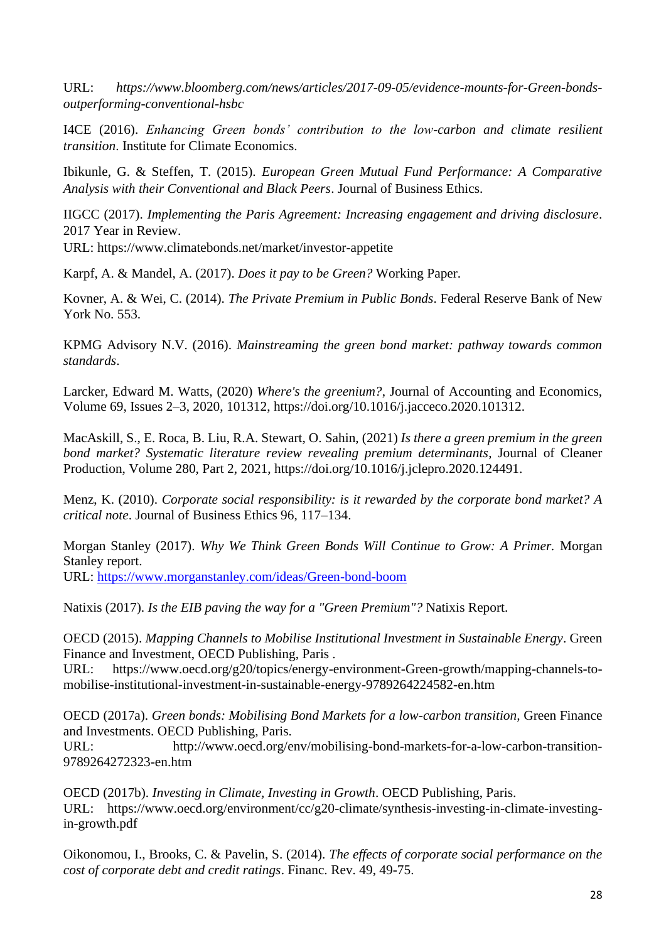URL: *https://www.bloomberg.com/news/articles/2017-09-05/evidence-mounts-for-Green-bondsoutperforming-conventional-hsbc*

I4CE (2016). *Enhancing Green bonds' contribution to the low-carbon and climate resilient transition*. Institute for Climate Economics.

Ibikunle, G. & Steffen, T. (2015). *European Green Mutual Fund Performance: A Comparative Analysis with their Conventional and Black Peers*. Journal of Business Ethics.

IIGCC (2017). *Implementing the Paris Agreement: Increasing engagement and driving disclosure*. 2017 Year in Review. URL: https://www.climatebonds.net/market/investor-appetite

Karpf, A. & Mandel, A. (2017). *Does it pay to be Green?* Working Paper.

Kovner, A. & Wei, C. (2014). *The Private Premium in Public Bonds*. Federal Reserve Bank of New York No. 553.

KPMG Advisory N.V. (2016). *Mainstreaming the green bond market: pathway towards common standards*.

Larcker, Edward M. Watts, (2020) *Where's the greenium?*, Journal of Accounting and Economics, Volume 69, Issues 2–3, 2020, 101312, https://doi.org/10.1016/j.jacceco.2020.101312.

MacAskill, S., E. Roca, B. Liu, R.A. Stewart, O. Sahin, (2021) *Is there a green premium in the green bond market? Systematic literature review revealing premium determinants*, Journal of Cleaner Production, Volume 280, Part 2, 2021, https://doi.org/10.1016/j.jclepro.2020.124491.

Menz, K. (2010). *Corporate social responsibility: is it rewarded by the corporate bond market? A critical note*. Journal of Business Ethics 96, 117–134.

Morgan Stanley (2017). *Why We Think Green Bonds Will Continue to Grow: A Primer.* Morgan Stanley report.

URL:<https://www.morganstanley.com/ideas/Green-bond-boom>

Natixis (2017). *Is the EIB paving the way for a "Green Premium"?* Natixis Report.

OECD (2015). *Mapping Channels to Mobilise Institutional Investment in Sustainable Energy*. Green Finance and Investment, OECD Publishing, Paris .

URL: https://www.oecd.org/g20/topics/energy-environment-Green-growth/mapping-channels-tomobilise-institutional-investment-in-sustainable-energy-9789264224582-en.htm

OECD (2017a). *Green bonds: Mobilising Bond Markets for a low-carbon transition,* Green Finance and Investments. OECD Publishing, Paris.

URL: http://www.oecd.org/env/mobilising-bond-markets-for-a-low-carbon-transition-9789264272323-en.htm

OECD (2017b). *Investing in Climate, Investing in Growth*. OECD Publishing, Paris. URL: https://www.oecd.org/environment/cc/g20-climate/synthesis-investing-in-climate-investingin-growth.pdf

Oikonomou, I., Brooks, C. & Pavelin, S. (2014). *The effects of corporate social performance on the cost of corporate debt and credit ratings*. Financ. Rev. 49, 49-75.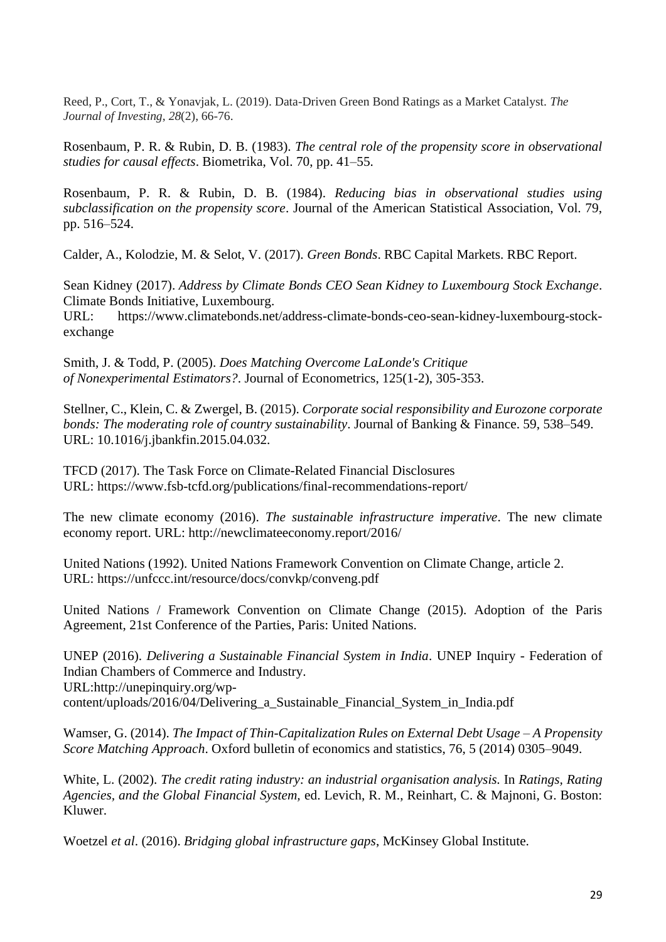Reed, P., Cort, T., & Yonavjak, L. (2019). Data-Driven Green Bond Ratings as a Market Catalyst. *The Journal of Investing*, *28*(2), 66-76.

Rosenbaum, P. R. & Rubin, D. B. (1983). *The central role of the propensity score in observational studies for causal effects*. Biometrika, Vol. 70, pp. 41–55.

Rosenbaum, P. R. & Rubin, D. B. (1984). *Reducing bias in observational studies using subclassification on the propensity score*. Journal of the American Statistical Association, Vol. 79, pp. 516–524.

Calder, A., Kolodzie, M. & Selot, V. (2017). *Green Bonds*. RBC Capital Markets. RBC Report.

Sean Kidney (2017). *Address by Climate Bonds CEO Sean Kidney to Luxembourg Stock Exchange*. Climate Bonds Initiative, Luxembourg.

URL: https://www.climatebonds.net/address-climate-bonds-ceo-sean-kidney-luxembourg-stockexchange

Smith, J. & Todd, P. (2005). *Does Matching Overcome LaLonde's Critique of Nonexperimental Estimators?*. Journal of Econometrics, 125(1-2), 305-353.

Stellner, C., Klein, C. & Zwergel, B. (2015). *Corporate social responsibility and Eurozone corporate bonds: The moderating role of country sustainability*. Journal of Banking & Finance. 59, 538–549. URL: 10.1016/j.jbankfin.2015.04.032.

TFCD (2017). The Task Force on Climate-Related Financial Disclosures URL: https://www.fsb-tcfd.org/publications/final-recommendations-report/

The new climate economy (2016). *The sustainable infrastructure imperative*. The new climate economy report. URL: http://newclimateeconomy.report/2016/

United Nations (1992). United Nations Framework Convention on Climate Change, article 2. URL:<https://unfccc.int/resource/docs/convkp/conveng.pdf>

United Nations / Framework Convention on Climate Change (2015). Adoption of the Paris Agreement, 21st Conference of the Parties, Paris: United Nations.

UNEP (2016). *Delivering a Sustainable Financial System in India*. UNEP Inquiry - Federation of Indian Chambers of Commerce and Industry. [URL:http://unepinquiry.org/wp](http://unepinquiry.org/wp-content/uploads/2016/04/Delivering_a_Sustainable_Financial_System_in_India.pdf)[content/uploads/2016/04/Delivering\\_a\\_Sustainable\\_Financial\\_System\\_in\\_India.pdf](http://unepinquiry.org/wp-content/uploads/2016/04/Delivering_a_Sustainable_Financial_System_in_India.pdf)

Wamser, G. (2014). *The Impact of Thin-Capitalization Rules on External Debt Usage – A Propensity Score Matching Approach*. Oxford bulletin of economics and statistics, 76, 5 (2014) 0305–9049.

White, L. (2002). *The credit rating industry: an industrial organisation analysis.* In *Ratings, Rating Agencies, and the Global Financial System,* ed. Levich, R. M., Reinhart, C. & Majnoni, G. Boston: Kluwer.

Woetzel *et al*. (2016). *Bridging global infrastructure gaps*, McKinsey Global Institute.